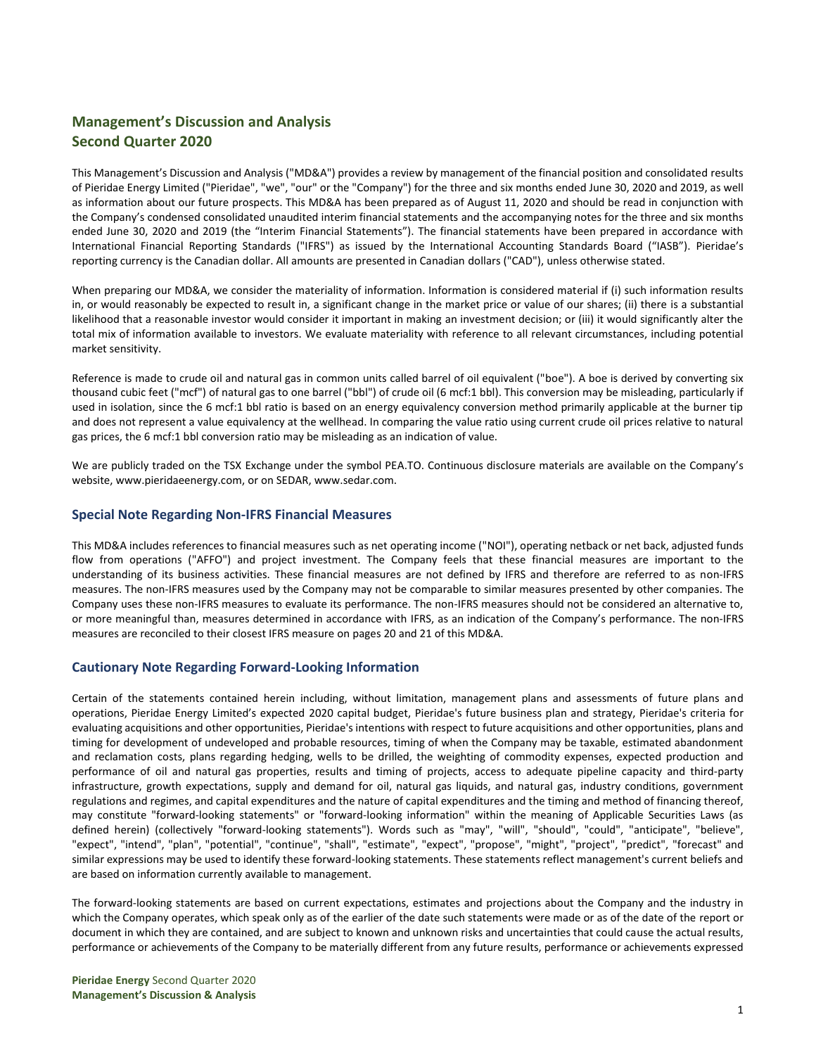# **Management's Discussion and Analysis Second Quarter 2020**

This Management's Discussion and Analysis ("MD&A") provides a review by management of the financial position and consolidated results of Pieridae Energy Limited ("Pieridae", "we", "our" or the "Company") for the three and six months ended June 30, 2020 and 2019, as well as information about our future prospects. This MD&A has been prepared as of August 11, 2020 and should be read in conjunction with the Company's condensed consolidated unaudited interim financial statements and the accompanying notes for the three and six months ended June 30, 2020 and 2019 (the "Interim Financial Statements"). The financial statements have been prepared in accordance with International Financial Reporting Standards ("IFRS") as issued by the International Accounting Standards Board ("IASB"). Pieridae's reporting currency is the Canadian dollar. All amounts are presented in Canadian dollars ("CAD"), unless otherwise stated.

When preparing our MD&A, we consider the materiality of information. Information is considered material if (i) such information results in, or would reasonably be expected to result in, a significant change in the market price or value of our shares; (ii) there is a substantial likelihood that a reasonable investor would consider it important in making an investment decision; or (iii) it would significantly alter the total mix of information available to investors. We evaluate materiality with reference to all relevant circumstances, including potential market sensitivity.

Reference is made to crude oil and natural gas in common units called barrel of oil equivalent ("boe"). A boe is derived by converting six thousand cubic feet ("mcf") of natural gas to one barrel ("bbl") of crude oil (6 mcf:1 bbl). This conversion may be misleading, particularly if used in isolation, since the 6 mcf:1 bbl ratio is based on an energy equivalency conversion method primarily applicable at the burner tip and does not represent a value equivalency at the wellhead. In comparing the value ratio using current crude oil prices relative to natural gas prices, the 6 mcf:1 bbl conversion ratio may be misleading as an indication of value.

We are publicly traded on the TSX Exchange under the symbol PEA.TO. Continuous disclosure materials are available on the Company's website, [www.pieridaeenergy.com,](http://www.pieridaeenergy.com/) or on SEDAR, [www.sedar.com.](http://www.sedar.com/)

## **Special Note Regarding Non-IFRS Financial Measures**

This MD&A includes references to financial measures such as net operating income ("NOI"), operating netback or net back, adjusted funds flow from operations ("AFFO") and project investment. The Company feels that these financial measures are important to the understanding of its business activities. These financial measures are not defined by IFRS and therefore are referred to as non-IFRS measures. The non-IFRS measures used by the Company may not be comparable to similar measures presented by other companies. The Company uses these non-IFRS measures to evaluate its performance. The non-IFRS measures should not be considered an alternative to, or more meaningful than, measures determined in accordance with IFRS, as an indication of the Company's performance. The non-IFRS measures are reconciled to their closest IFRS measure on pages 20 and 21 of this MD&A.

## **Cautionary Note Regarding Forward-Looking Information**

Certain of the statements contained herein including, without limitation, management plans and assessments of future plans and operations, Pieridae Energy Limited's expected 2020 capital budget, Pieridae's future business plan and strategy, Pieridae's criteria for evaluating acquisitions and other opportunities, Pieridae's intentions with respect to future acquisitions and other opportunities, plans and timing for development of undeveloped and probable resources, timing of when the Company may be taxable, estimated abandonment and reclamation costs, plans regarding hedging, wells to be drilled, the weighting of commodity expenses, expected production and performance of oil and natural gas properties, results and timing of projects, access to adequate pipeline capacity and third-party infrastructure, growth expectations, supply and demand for oil, natural gas liquids, and natural gas, industry conditions, government regulations and regimes, and capital expenditures and the nature of capital expenditures and the timing and method of financing thereof, may constitute "forward-looking statements" or "forward-looking information" within the meaning of Applicable Securities Laws (as defined herein) (collectively "forward-looking statements"). Words such as "may", "will", "should", "could", "anticipate", "believe", "expect", "intend", "plan", "potential", "continue", "shall", "estimate", "expect", "propose", "might", "project", "predict", "forecast" and similar expressions may be used to identify these forward-looking statements. These statements reflect management's current beliefs and are based on information currently available to management.

The forward-looking statements are based on current expectations, estimates and projections about the Company and the industry in which the Company operates, which speak only as of the earlier of the date such statements were made or as of the date of the report or document in which they are contained, and are subject to known and unknown risks and uncertainties that could cause the actual results, performance or achievements of the Company to be materially different from any future results, performance or achievements expressed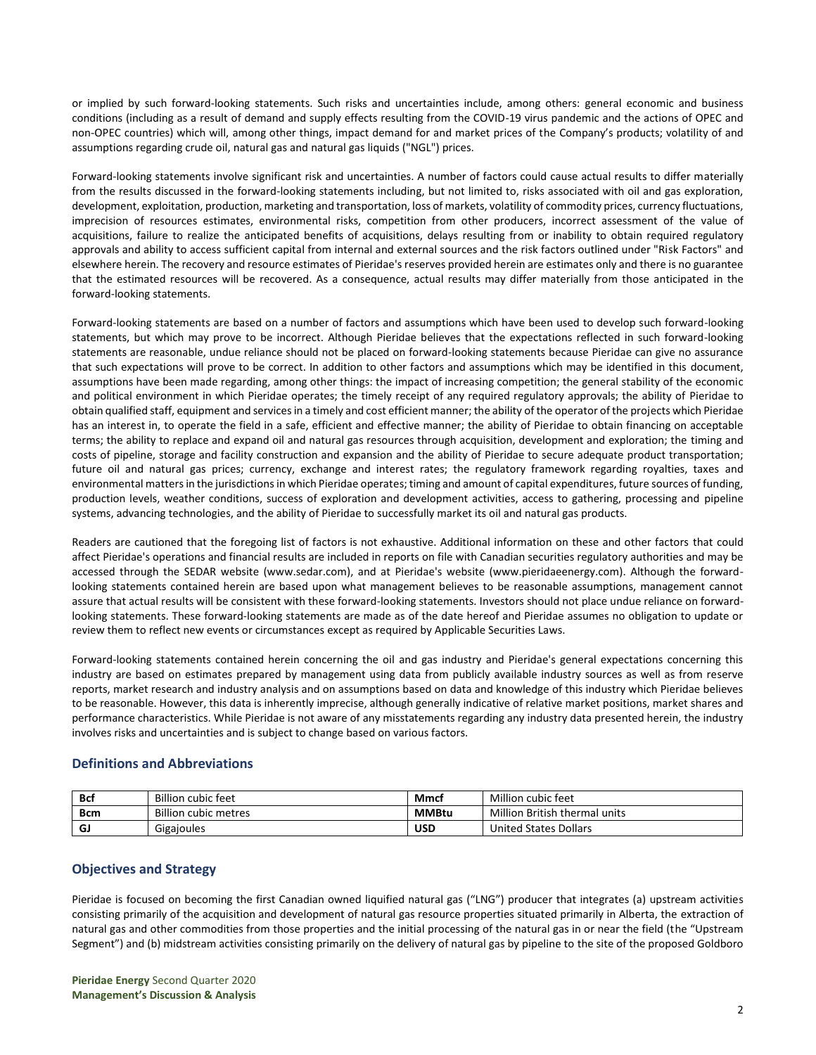or implied by such forward-looking statements. Such risks and uncertainties include, among others: general economic and business conditions (including as a result of demand and supply effects resulting from the COVID-19 virus pandemic and the actions of OPEC and non-OPEC countries) which will, among other things, impact demand for and market prices of the Company's products; volatility of and assumptions regarding crude oil, natural gas and natural gas liquids ("NGL") prices.

Forward-looking statements involve significant risk and uncertainties. A number of factors could cause actual results to differ materially from the results discussed in the forward-looking statements including, but not limited to, risks associated with oil and gas exploration, development, exploitation, production, marketing and transportation, loss of markets, volatility of commodity prices, currency fluctuations, imprecision of resources estimates, environmental risks, competition from other producers, incorrect assessment of the value of acquisitions, failure to realize the anticipated benefits of acquisitions, delays resulting from or inability to obtain required regulatory approvals and ability to access sufficient capital from internal and external sources and the risk factors outlined under "Risk Factors" and elsewhere herein. The recovery and resource estimates of Pieridae's reserves provided herein are estimates only and there is no guarantee that the estimated resources will be recovered. As a consequence, actual results may differ materially from those anticipated in the forward-looking statements.

Forward-looking statements are based on a number of factors and assumptions which have been used to develop such forward-looking statements, but which may prove to be incorrect. Although Pieridae believes that the expectations reflected in such forward-looking statements are reasonable, undue reliance should not be placed on forward-looking statements because Pieridae can give no assurance that such expectations will prove to be correct. In addition to other factors and assumptions which may be identified in this document, assumptions have been made regarding, among other things: the impact of increasing competition; the general stability of the economic and political environment in which Pieridae operates; the timely receipt of any required regulatory approvals; the ability of Pieridae to obtain qualified staff, equipment and services in a timely and cost efficient manner; the ability of the operator of the projects which Pieridae has an interest in, to operate the field in a safe, efficient and effective manner; the ability of Pieridae to obtain financing on acceptable terms; the ability to replace and expand oil and natural gas resources through acquisition, development and exploration; the timing and costs of pipeline, storage and facility construction and expansion and the ability of Pieridae to secure adequate product transportation; future oil and natural gas prices; currency, exchange and interest rates; the regulatory framework regarding royalties, taxes and environmental matters in the jurisdictions in which Pieridae operates; timing and amount of capital expenditures, future sources of funding, production levels, weather conditions, success of exploration and development activities, access to gathering, processing and pipeline systems, advancing technologies, and the ability of Pieridae to successfully market its oil and natural gas products.

Readers are cautioned that the foregoing list of factors is not exhaustive. Additional information on these and other factors that could affect Pieridae's operations and financial results are included in reports on file with Canadian securities regulatory authorities and may be accessed through the SEDAR website (www.sedar.com), and at Pieridae's website (www.pieridaeenergy.com). Although the forwardlooking statements contained herein are based upon what management believes to be reasonable assumptions, management cannot assure that actual results will be consistent with these forward-looking statements. Investors should not place undue reliance on forwardlooking statements. These forward-looking statements are made as of the date hereof and Pieridae assumes no obligation to update or review them to reflect new events or circumstances except as required by Applicable Securities Laws.

Forward-looking statements contained herein concerning the oil and gas industry and Pieridae's general expectations concerning this industry are based on estimates prepared by management using data from publicly available industry sources as well as from reserve reports, market research and industry analysis and on assumptions based on data and knowledge of this industry which Pieridae believes to be reasonable. However, this data is inherently imprecise, although generally indicative of relative market positions, market shares and performance characteristics. While Pieridae is not aware of any misstatements regarding any industry data presented herein, the industry involves risks and uncertainties and is subject to change based on various factors.

## **Definitions and Abbreviations**

| Bcf | <b>Billion cubic feet</b>   | Mmcl         | Million cubic feet            |
|-----|-----------------------------|--------------|-------------------------------|
| Bcm | <b>Billion cubic metres</b> | <b>MMBtu</b> | Million British thermal units |
| G.  | Gigajoules                  | <b>USD</b>   | <b>United States Dollars</b>  |

## **Objectives and Strategy**

Pieridae is focused on becoming the first Canadian owned liquified natural gas ("LNG") producer that integrates (a) upstream activities consisting primarily of the acquisition and development of natural gas resource properties situated primarily in Alberta, the extraction of natural gas and other commodities from those properties and the initial processing of the natural gas in or near the field (the "Upstream Segment") and (b) midstream activities consisting primarily on the delivery of natural gas by pipeline to the site of the proposed Goldboro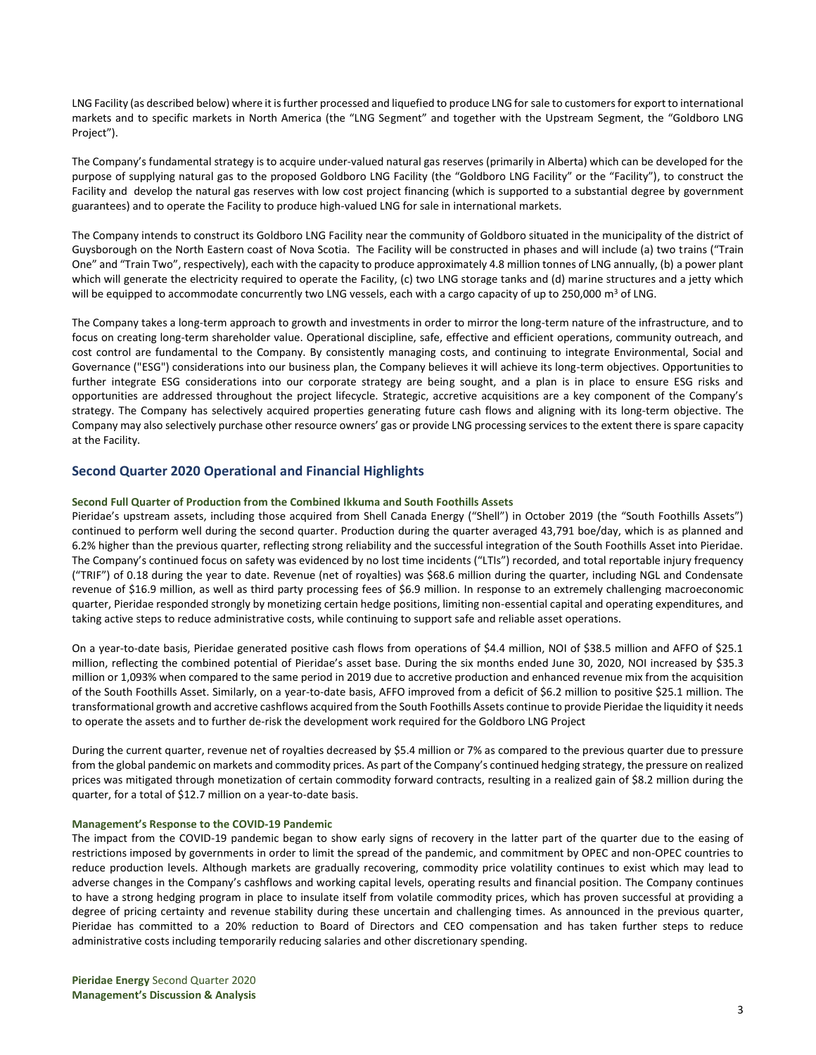LNG Facility (as described below) where it is further processed and liquefied to produce LNG for sale to customers for export to international markets and to specific markets in North America (the "LNG Segment" and together with the Upstream Segment, the "Goldboro LNG Project").

The Company's fundamental strategy is to acquire under-valued natural gas reserves (primarily in Alberta) which can be developed for the purpose of supplying natural gas to the proposed Goldboro LNG Facility (the "Goldboro LNG Facility" or the "Facility"), to construct the Facility and develop the natural gas reserves with low cost project financing (which is supported to a substantial degree by government guarantees) and to operate the Facility to produce high-valued LNG for sale in international markets.

The Company intends to construct its Goldboro LNG Facility near the community of Goldboro situated in the municipality of the district of Guysborough on the North Eastern coast of Nova Scotia. The Facility will be constructed in phases and will include (a) two trains ("Train One" and "Train Two", respectively), each with the capacity to produce approximately 4.8 million tonnes of LNG annually, (b) a power plant which will generate the electricity required to operate the Facility, (c) two LNG storage tanks and (d) marine structures and a jetty which will be equipped to accommodate concurrently two LNG vessels, each with a cargo capacity of up to 250,000 m<sup>3</sup> of LNG.

The Company takes a long-term approach to growth and investments in order to mirror the long-term nature of the infrastructure, and to focus on creating long-term shareholder value. Operational discipline, safe, effective and efficient operations, community outreach, and cost control are fundamental to the Company. By consistently managing costs, and continuing to integrate Environmental, Social and Governance ("ESG") considerations into our business plan, the Company believes it will achieve its long-term objectives. Opportunities to further integrate ESG considerations into our corporate strategy are being sought, and a plan is in place to ensure ESG risks and opportunities are addressed throughout the project lifecycle. Strategic, accretive acquisitions are a key component of the Company's strategy. The Company has selectively acquired properties generating future cash flows and aligning with its long-term objective. The Company may also selectively purchase other resource owners' gas or provide LNG processing services to the extent there is spare capacity at the Facility.

## **Second Quarter 2020 Operational and Financial Highlights**

### **Second Full Quarter of Production from the Combined Ikkuma and South Foothills Assets**

Pieridae's upstream assets, including those acquired from Shell Canada Energy ("Shell") in October 2019 (the "South Foothills Assets") continued to perform well during the second quarter. Production during the quarter averaged 43,791 boe/day, which is as planned and 6.2% higher than the previous quarter, reflecting strong reliability and the successful integration of the South Foothills Asset into Pieridae. The Company's continued focus on safety was evidenced by no lost time incidents ("LTIs") recorded, and total reportable injury frequency ("TRIF") of 0.18 during the year to date. Revenue (net of royalties) was \$68.6 million during the quarter, including NGL and Condensate revenue of \$16.9 million, as well as third party processing fees of \$6.9 million. In response to an extremely challenging macroeconomic quarter, Pieridae responded strongly by monetizing certain hedge positions, limiting non-essential capital and operating expenditures, and taking active steps to reduce administrative costs, while continuing to support safe and reliable asset operations.

On a year-to-date basis, Pieridae generated positive cash flows from operations of \$4.4 million, NOI of \$38.5 million and AFFO of \$25.1 million, reflecting the combined potential of Pieridae's asset base. During the six months ended June 30, 2020, NOI increased by \$35.3 million or 1,093% when compared to the same period in 2019 due to accretive production and enhanced revenue mix from the acquisition of the South Foothills Asset. Similarly, on a year-to-date basis, AFFO improved from a deficit of \$6.2 million to positive \$25.1 million. The transformational growth and accretive cashflows acquired from the South Foothills Assets continue to provide Pieridae the liquidity it needs to operate the assets and to further de-risk the development work required for the Goldboro LNG Project

During the current quarter, revenue net of royalties decreased by \$5.4 million or 7% as compared to the previous quarter due to pressure from the global pandemic on markets and commodity prices. As part of the Company's continued hedging strategy, the pressure on realized prices was mitigated through monetization of certain commodity forward contracts, resulting in a realized gain of \$8.2 million during the quarter, for a total of \$12.7 million on a year-to-date basis.

### **Management's Response to the COVID-19 Pandemic**

The impact from the COVID-19 pandemic began to show early signs of recovery in the latter part of the quarter due to the easing of restrictions imposed by governments in order to limit the spread of the pandemic, and commitment by OPEC and non-OPEC countries to reduce production levels. Although markets are gradually recovering, commodity price volatility continues to exist which may lead to adverse changes in the Company's cashflows and working capital levels, operating results and financial position. The Company continues to have a strong hedging program in place to insulate itself from volatile commodity prices, which has proven successful at providing a degree of pricing certainty and revenue stability during these uncertain and challenging times. As announced in the previous quarter, Pieridae has committed to a 20% reduction to Board of Directors and CEO compensation and has taken further steps to reduce administrative costs including temporarily reducing salaries and other discretionary spending.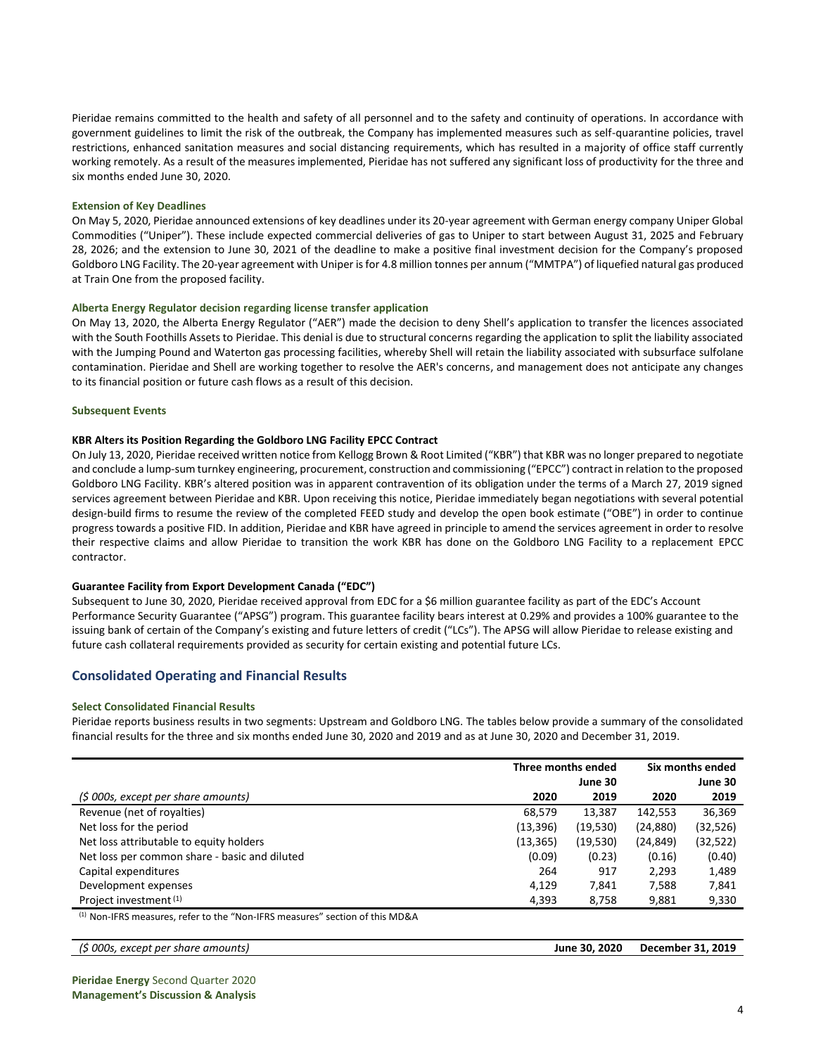Pieridae remains committed to the health and safety of all personnel and to the safety and continuity of operations. In accordance with government guidelines to limit the risk of the outbreak, the Company has implemented measures such as self-quarantine policies, travel restrictions, enhanced sanitation measures and social distancing requirements, which has resulted in a majority of office staff currently working remotely. As a result of the measures implemented, Pieridae has not suffered any significant loss of productivity for the three and six months ended June 30, 2020.

#### **Extension of Key Deadlines**

On May 5, 2020, Pieridae announced extensions of key deadlines under its 20-year agreement with German energy company Uniper Global Commodities ("Uniper"). These include expected commercial deliveries of gas to Uniper to start between August 31, 2025 and February 28, 2026; and the extension to June 30, 2021 of the deadline to make a positive final investment decision for the Company's proposed Goldboro LNG Facility. The 20-year agreement with Uniper is for 4.8 million tonnes per annum ("MMTPA") of liquefied natural gas produced at Train One from the proposed facility.

#### **Alberta Energy Regulator decision regarding license transfer application**

On May 13, 2020, the Alberta Energy Regulator ("AER") made the decision to deny Shell's application to transfer the licences associated with the South Foothills Assets to Pieridae. This denial is due to structural concerns regarding the application to split the liability associated with the Jumping Pound and Waterton gas processing facilities, whereby Shell will retain the liability associated with subsurface sulfolane contamination. Pieridae and Shell are working together to resolve the AER's concerns, and management does not anticipate any changes to its financial position or future cash flows as a result of this decision.

#### **Subsequent Events**

#### **KBR Alters its Position Regarding the Goldboro LNG Facility EPCC Contract**

On July 13, 2020, Pieridae received written notice from Kellogg Brown & Root Limited ("KBR") that KBR was no longer prepared to negotiate and conclude a lump-sum turnkey engineering, procurement, construction and commissioning ("EPCC") contract in relation to the proposed Goldboro LNG Facility. KBR's altered position was in apparent contravention of its obligation under the terms of a March 27, 2019 signed services agreement between Pieridae and KBR. Upon receiving this notice, Pieridae immediately began negotiations with several potential design-build firms to resume the review of the completed FEED study and develop the open book estimate ("OBE") in order to continue progress towards a positive FID. In addition, Pieridae and KBR have agreed in principle to amend the services agreement in order to resolve their respective claims and allow Pieridae to transition the work KBR has done on the Goldboro LNG Facility to a replacement EPCC contractor.

### **Guarantee Facility from Export Development Canada ("EDC")**

Subsequent to June 30, 2020, Pieridae received approval from EDC for a \$6 million guarantee facility as part of the EDC's Account Performance Security Guarantee ("APSG") program. This guarantee facility bears interest at 0.29% and provides a 100% guarantee to the issuing bank of certain of the Company's existing and future letters of credit ("LCs"). The APSG will allow Pieridae to release existing and future cash collateral requirements provided as security for certain existing and potential future LCs.

### **Consolidated Operating and Financial Results**

#### **Select Consolidated Financial Results**

Pieridae reports business results in two segments: Upstream and Goldboro LNG. The tables below provide a summary of the consolidated financial results for the three and six months ended June 30, 2020 and 2019 and as at June 30, 2020 and December 31, 2019.

|                                               | Three months ended |           | Six months ended |           |
|-----------------------------------------------|--------------------|-----------|------------------|-----------|
|                                               |                    | June 30   |                  | June 30   |
| (\$ 000s, except per share amounts)           | 2020               | 2019      | 2020             | 2019      |
| Revenue (net of royalties)                    | 68,579             | 13.387    | 142.553          | 36,369    |
| Net loss for the period                       | (13, 396)          | (19, 530) | (24, 880)        | (32, 526) |
| Net loss attributable to equity holders       | (13, 365)          | (19,530)  | (24, 849)        | (32, 522) |
| Net loss per common share - basic and diluted | (0.09)             | (0.23)    | (0.16)           | (0.40)    |
| Capital expenditures                          | 264                | 917       | 2,293            | 1,489     |
| Development expenses                          | 4.129              | 7.841     | 7,588            | 7,841     |
| Project investment <sup>(1)</sup>             | 4,393              | 8,758     | 9,881            | 9,330     |

(1) Non-IFRS measures, refer to the "Non-IFRS measures" section of this MD&A

| . د <i>000s,</i> ۷<br>, except per share amounts) | June 30, 2020 | <b>December 31, 2019</b> |
|---------------------------------------------------|---------------|--------------------------|
|                                                   |               |                          |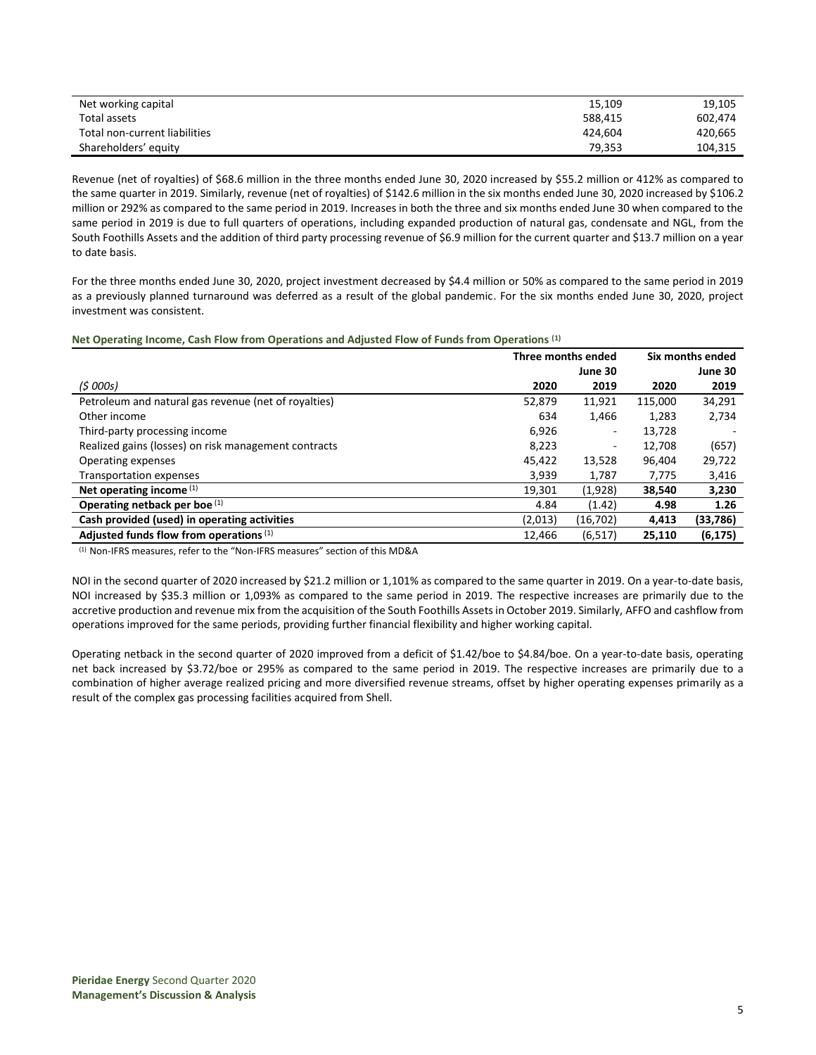| Net working capital           | 15,109  | 19,105  |
|-------------------------------|---------|---------|
| Total assets                  | 588.415 | 602.474 |
| Total non-current liabilities | 424.604 | 420.665 |
| Shareholders' equity          | 79.353  | 104.315 |

Revenue (net of royalties) of \$68.6 million in the three months ended June 30, 2020 increased by \$55.2 million or 412% as compared to the same quarter in 2019. Similarly, revenue (net of royalties) of \$142.6 million in the six months ended June 30, 2020 increased by \$106.2 million or 292% as compared to the same period in 2019. Increases in both the three and six months ended June 30 when compared to the same period in 2019 is due to full quarters of operations, including expanded production of natural gas, condensate and NGL, from the South Foothills Assets and the addition of third party processing revenue of \$6.9 million for the current quarter and \$13.7 million on a year to date basis.

For the three months ended June 30, 2020, project investment decreased by \$4.4 million or 50% as compared to the same period in 2019 as a previously planned turnaround was deferred as a result of the global pandemic. For the six months ended June 30, 2020, project investment was consistent.

#### **Net Operating Income, Cash Flow from Operations and Adjusted Flow of Funds from Operations (1)**

|                                                      | Three months ended |           | Six months ended |          |
|------------------------------------------------------|--------------------|-----------|------------------|----------|
|                                                      |                    | June 30   |                  | June 30  |
| (5000s)                                              | 2020               | 2019      | 2020             | 2019     |
| Petroleum and natural gas revenue (net of royalties) | 52,879             | 11,921    | 115,000          | 34,291   |
| Other income                                         | 634                | 1,466     | 1.283            | 2,734    |
| Third-party processing income                        | 6,926              | ۰         | 13,728           |          |
| Realized gains (losses) on risk management contracts | 8,223              | ٠         | 12,708           | (657)    |
| Operating expenses                                   | 45,422             | 13,528    | 96,404           | 29,722   |
| <b>Transportation expenses</b>                       | 3,939              | 1,787     | 7,775            | 3,416    |
| Net operating income $(1)$                           | 19,301             | (1,928)   | 38,540           | 3,230    |
| Operating netback per boe (1)                        | 4.84               | (1.42)    | 4.98             | 1.26     |
| Cash provided (used) in operating activities         | (2,013)            | (16, 702) | 4,413            | (33,786) |
| Adjusted funds flow from operations (1)              | 12.466             | (6, 517)  | 25.110           | (6, 175) |

(1) Non-IFRS measures, refer to the "Non-IFRS measures" section of this MD&A

NOI in the second quarter of 2020 increased by \$21.2 million or 1,101% as compared to the same quarter in 2019. On a year-to-date basis, NOI increased by \$35.3 million or 1,093% as compared to the same period in 2019. The respective increases are primarily due to the accretive production and revenue mix from the acquisition of the South Foothills Assets in October 2019. Similarly, AFFO and cashflow from operations improved for the same periods, providing further financial flexibility and higher working capital.

Operating netback in the second quarter of 2020 improved from a deficit of \$1.42/boe to \$4.84/boe. On a year-to-date basis, operating net back increased by \$3.72/boe or 295% as compared to the same period in 2019. The respective increases are primarily due to a combination of higher average realized pricing and more diversified revenue streams, offset by higher operating expenses primarily as a result of the complex gas processing facilities acquired from Shell.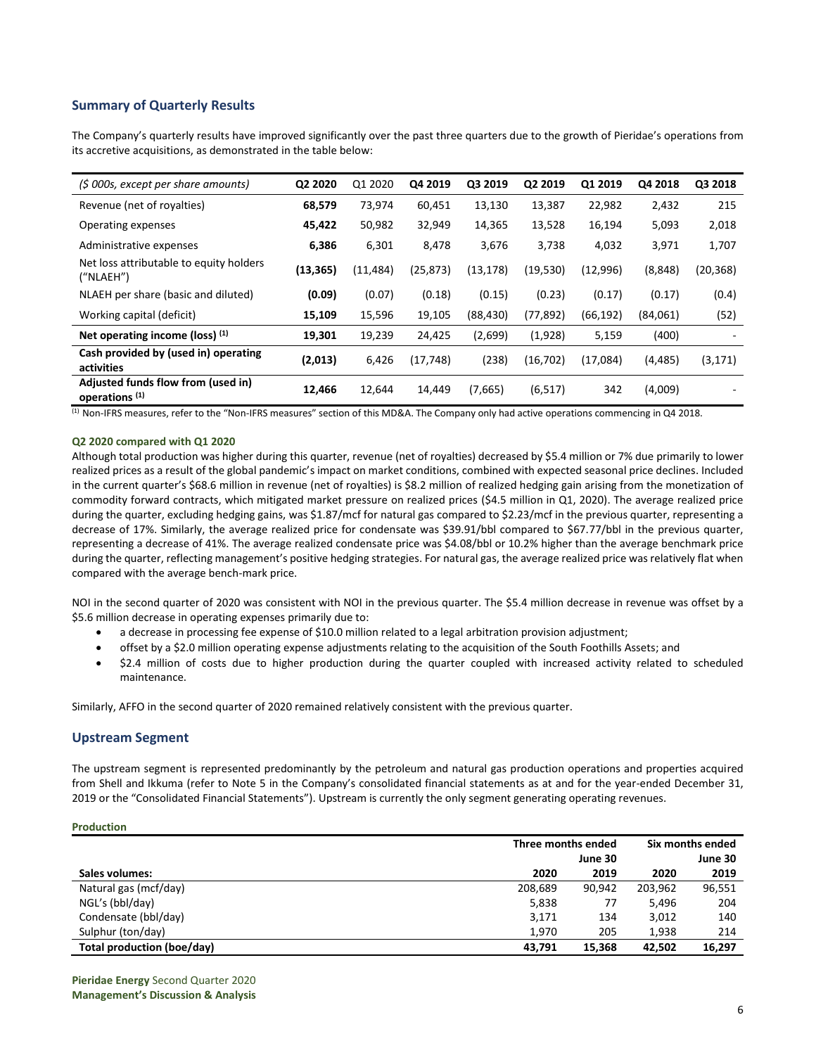## **Summary of Quarterly Results**

The Company's quarterly results have improved significantly over the past three quarters due to the growth of Pieridae's operations from its accretive acquisitions, as demonstrated in the table below:

| (\$ 000s, except per share amounts)                             | Q2 2020   | Q1 2020   | Q4 2019   | Q3 2019   | Q2 2019   | Q1 2019   | Q4 2018  | Q3 2018  |
|-----------------------------------------------------------------|-----------|-----------|-----------|-----------|-----------|-----------|----------|----------|
| Revenue (net of royalties)                                      | 68,579    | 73,974    | 60,451    | 13,130    | 13,387    | 22,982    | 2,432    | 215      |
| Operating expenses                                              | 45,422    | 50,982    | 32,949    | 14,365    | 13,528    | 16,194    | 5,093    | 2,018    |
| Administrative expenses                                         | 6,386     | 6,301     | 8,478     | 3,676     | 3,738     | 4,032     | 3,971    | 1,707    |
| Net loss attributable to equity holders<br>("NLAEH")            | (13, 365) | (11, 484) | (25, 873) | (13, 178) | (19, 530) | (12,996)  | (8,848)  | (20,368) |
| NLAEH per share (basic and diluted)                             | (0.09)    | (0.07)    | (0.18)    | (0.15)    | (0.23)    | (0.17)    | (0.17)   | (0.4)    |
| Working capital (deficit)                                       | 15,109    | 15,596    | 19,105    | (88, 430) | (77, 892) | (66, 192) | (84,061) | (52)     |
| Net operating income (loss) $(1)$                               | 19,301    | 19,239    | 24,425    | (2,699)   | (1,928)   | 5,159     | (400)    |          |
| Cash provided by (used in) operating<br>activities              | (2,013)   | 6,426     | (17, 748) | (238)     | (16, 702) | (17,084)  | (4, 485) | (3, 171) |
| Adjusted funds flow from (used in)<br>operations <sup>(1)</sup> | 12,466    | 12,644    | 14,449    | (7,665)   | (6, 517)  | 342       | (4,009)  |          |

 $<sup>(1)</sup>$  Non-IFRS measures, refer to the "Non-IFRS measures" section of this MD&A. The Company only had active operations commencing in Q4 2018.</sup>

## **Q2 2020 compared with Q1 2020**

Although total production was higher during this quarter, revenue (net of royalties) decreased by \$5.4 million or 7% due primarily to lower realized prices as a result of the global pandemic's impact on market conditions, combined with expected seasonal price declines. Included in the current quarter's \$68.6 million in revenue (net of royalties) is \$8.2 million of realized hedging gain arising from the monetization of commodity forward contracts, which mitigated market pressure on realized prices (\$4.5 million in Q1, 2020). The average realized price during the quarter, excluding hedging gains, was \$1.87/mcf for natural gas compared to \$2.23/mcf in the previous quarter, representing a decrease of 17%. Similarly, the average realized price for condensate was \$39.91/bbl compared to \$67.77/bbl in the previous quarter, representing a decrease of 41%. The average realized condensate price was \$4.08/bbl or 10.2% higher than the average benchmark price during the quarter, reflecting management's positive hedging strategies. For natural gas, the average realized price was relatively flat when compared with the average bench-mark price.

NOI in the second quarter of 2020 was consistent with NOI in the previous quarter. The \$5.4 million decrease in revenue was offset by a \$5.6 million decrease in operating expenses primarily due to:

- a decrease in processing fee expense of \$10.0 million related to a legal arbitration provision adjustment;
- offset by a \$2.0 million operating expense adjustments relating to the acquisition of the South Foothills Assets; and
- \$2.4 million of costs due to higher production during the quarter coupled with increased activity related to scheduled maintenance.

Similarly, AFFO in the second quarter of 2020 remained relatively consistent with the previous quarter.

## **Upstream Segment**

The upstream segment is represented predominantly by the petroleum and natural gas production operations and properties acquired from Shell and Ikkuma (refer to Note 5 in the Company's consolidated financial statements as at and for the year-ended December 31, 2019 or the "Consolidated Financial Statements"). Upstream is currently the only segment generating operating revenues.

### **Production**

|                            | Three months ended |         | Six months ended |         |
|----------------------------|--------------------|---------|------------------|---------|
|                            |                    | June 30 |                  | June 30 |
| Sales volumes:             | 2020               | 2019    | 2020             | 2019    |
| Natural gas (mcf/day)      | 208,689            | 90,942  | 203,962          | 96,551  |
| NGL's (bbl/day)            | 5,838              | 77      | 5,496            | 204     |
| Condensate (bbl/day)       | 3,171              | 134     | 3,012            | 140     |
| Sulphur (ton/day)          | 1.970              | 205     | 1.938            | 214     |
| Total production (boe/day) | 43.791             | 15.368  | 42,502           | 16,297  |

**Pieridae Energy** Second Quarter 2020 **Management's Discussion & Analysis**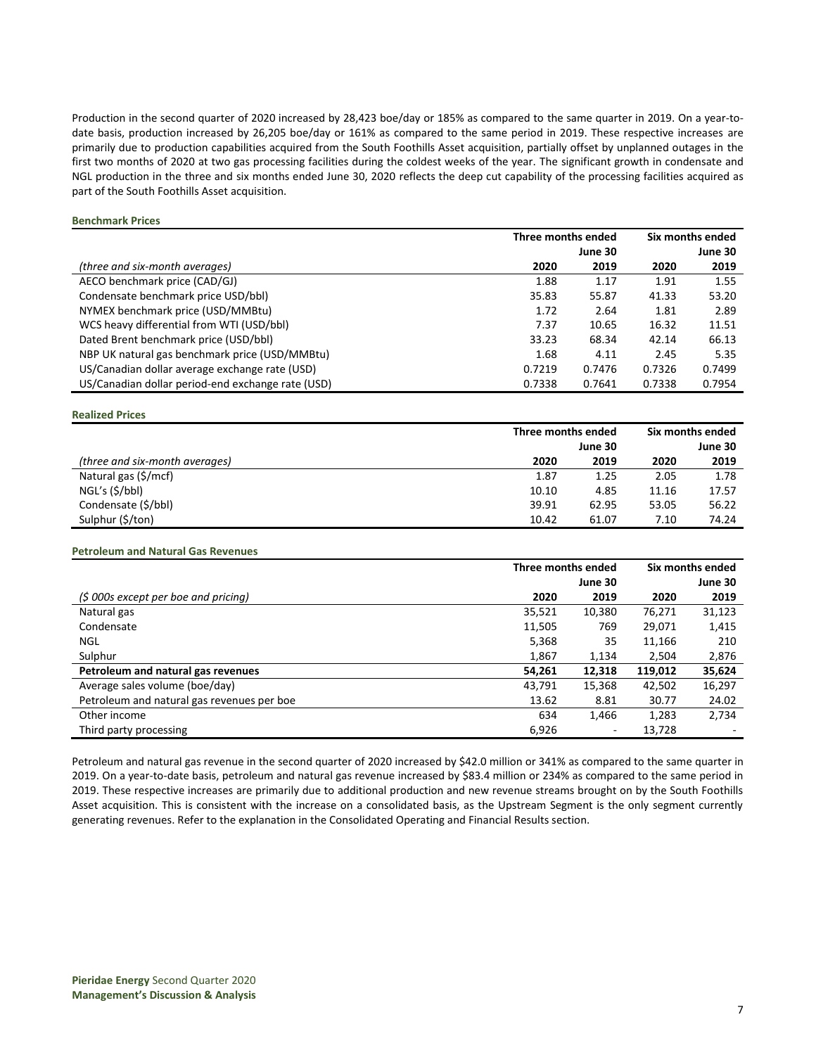Production in the second quarter of 2020 increased by 28,423 boe/day or 185% as compared to the same quarter in 2019. On a year-todate basis, production increased by 26,205 boe/day or 161% as compared to the same period in 2019. These respective increases are primarily due to production capabilities acquired from the South Foothills Asset acquisition, partially offset by unplanned outages in the first two months of 2020 at two gas processing facilities during the coldest weeks of the year. The significant growth in condensate and NGL production in the three and six months ended June 30, 2020 reflects the deep cut capability of the processing facilities acquired as part of the South Foothills Asset acquisition.

#### **Benchmark Prices**

|                                                   | Three months ended |         | Six months ended |         |
|---------------------------------------------------|--------------------|---------|------------------|---------|
|                                                   |                    | June 30 |                  | June 30 |
| (three and six-month averages)                    | 2020               | 2019    | 2020             | 2019    |
| AECO benchmark price (CAD/GJ)                     | 1.88               | 1.17    | 1.91             | 1.55    |
| Condensate benchmark price USD/bbl)               | 35.83              | 55.87   | 41.33            | 53.20   |
| NYMEX benchmark price (USD/MMBtu)                 | 1.72               | 2.64    | 1.81             | 2.89    |
| WCS heavy differential from WTI (USD/bbl)         | 7.37               | 10.65   | 16.32            | 11.51   |
| Dated Brent benchmark price (USD/bbl)             | 33.23              | 68.34   | 42.14            | 66.13   |
| NBP UK natural gas benchmark price (USD/MMBtu)    | 1.68               | 4.11    | 2.45             | 5.35    |
| US/Canadian dollar average exchange rate (USD)    | 0.7219             | 0.7476  | 0.7326           | 0.7499  |
| US/Canadian dollar period-end exchange rate (USD) | 0.7338             | 0.7641  | 0.7338           | 0.7954  |

#### **Realized Prices**

|                                | Three months ended |       | Six months ended |         |
|--------------------------------|--------------------|-------|------------------|---------|
|                                | June 30            |       |                  | June 30 |
| (three and six-month averages) | 2020               | 2019  | 2020             | 2019    |
| Natural gas (\$/mcf)           | 1.87               | 1.25  | 2.05             | 1.78    |
| NGL's (\$/bbl)                 | 10.10              | 4.85  | 11.16            | 17.57   |
| Condensate (\$/bbl)            | 39.91              | 62.95 | 53.05            | 56.22   |
| Sulphur (\$/ton)               | 10.42              | 61.07 | 7.10             | 74.24   |

#### **Petroleum and Natural Gas Revenues**

|                                            | Three months ended |                          |         | Six months ended |
|--------------------------------------------|--------------------|--------------------------|---------|------------------|
|                                            |                    | June 30                  |         | June 30          |
| $(5000s$ except per boe and pricing)       | 2020               | 2019                     | 2020    | 2019             |
| Natural gas                                | 35,521             | 10,380                   | 76,271  | 31,123           |
| Condensate                                 | 11,505             | 769                      | 29,071  | 1,415            |
| <b>NGL</b>                                 | 5,368              | 35                       | 11,166  | 210              |
| Sulphur                                    | 1,867              | 1,134                    | 2,504   | 2,876            |
| Petroleum and natural gas revenues         | 54,261             | 12,318                   | 119,012 | 35,624           |
| Average sales volume (boe/day)             | 43,791             | 15,368                   | 42,502  | 16,297           |
| Petroleum and natural gas revenues per boe | 13.62              | 8.81                     | 30.77   | 24.02            |
| Other income                               | 634                | 1,466                    | 1,283   | 2,734            |
| Third party processing                     | 6,926              | $\overline{\phantom{a}}$ | 13,728  |                  |

Petroleum and natural gas revenue in the second quarter of 2020 increased by \$42.0 million or 341% as compared to the same quarter in 2019. On a year-to-date basis, petroleum and natural gas revenue increased by \$83.4 million or 234% as compared to the same period in 2019. These respective increases are primarily due to additional production and new revenue streams brought on by the South Foothills Asset acquisition. This is consistent with the increase on a consolidated basis, as the Upstream Segment is the only segment currently generating revenues. Refer to the explanation in the Consolidated Operating and Financial Results section.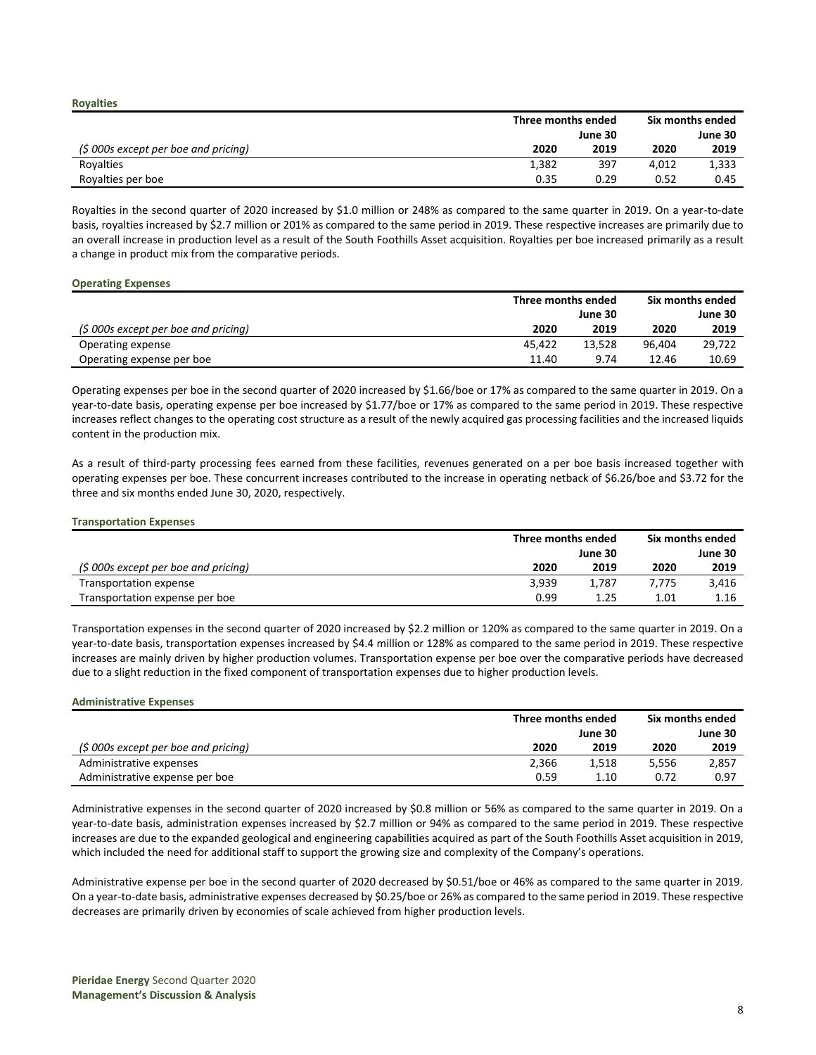**Royalties**

|                                      | Three months ended |         | Six months ended |         |  |
|--------------------------------------|--------------------|---------|------------------|---------|--|
|                                      |                    | June 30 |                  | June 30 |  |
| $(5000s$ except per boe and pricing) | 2020               | 2019    | 2020             | 2019    |  |
| Royalties                            | 1,382              | 397     | 4.012            | 1,333   |  |
| Royalties per boe                    | 0.35               | 0.29    | 0.52             | 0.45    |  |

Royalties in the second quarter of 2020 increased by \$1.0 million or 248% as compared to the same quarter in 2019. On a year-to-date basis, royalties increased by \$2.7 million or 201% as compared to the same period in 2019. These respective increases are primarily due to an overall increase in production level as a result of the South Foothills Asset acquisition. Royalties per boe increased primarily as a result a change in product mix from the comparative periods.

### **Operating Expenses**

|                                      | Three months ended |        |        | Six months ended |
|--------------------------------------|--------------------|--------|--------|------------------|
|                                      | June 30            |        |        | June 30          |
| (\$ 000s except per boe and pricing) | 2020               | 2019   | 2020   | 2019             |
| Operating expense                    | 45.422             | 13.528 | 96.404 | 29.722           |
| Operating expense per boe            | 11.40              | 9.74   | 12.46  | 10.69            |

Operating expenses per boe in the second quarter of 2020 increased by \$1.66/boe or 17% as compared to the same quarter in 2019. On a year-to-date basis, operating expense per boe increased by \$1.77/boe or 17% as compared to the same period in 2019. These respective increases reflect changes to the operating cost structure as a result of the newly acquired gas processing facilities and the increased liquids content in the production mix.

As a result of third-party processing fees earned from these facilities, revenues generated on a per boe basis increased together with operating expenses per boe. These concurrent increases contributed to the increase in operating netback of \$6.26/boe and \$3.72 for the three and six months ended June 30, 2020, respectively.

### **Transportation Expenses**

|                                      | Three months ended |         | Six months ended |         |  |
|--------------------------------------|--------------------|---------|------------------|---------|--|
|                                      |                    | June 30 |                  | June 30 |  |
| (\$ 000s except per boe and pricing) | 2020               | 2019    | 2020             | 2019    |  |
| Transportation expense               | 3.939              | 1.787   | 7.775            | 3.416   |  |
| Transportation expense per boe       | 0.99               | 1.25    | 1.01             | 1.16    |  |

Transportation expenses in the second quarter of 2020 increased by \$2.2 million or 120% as compared to the same quarter in 2019. On a year-to-date basis, transportation expenses increased by \$4.4 million or 128% as compared to the same period in 2019. These respective increases are mainly driven by higher production volumes. Transportation expense per boe over the comparative periods have decreased due to a slight reduction in the fixed component of transportation expenses due to higher production levels.

#### **Administrative Expenses**

|                                      | Three months ended |         | Six months ended |         |
|--------------------------------------|--------------------|---------|------------------|---------|
|                                      |                    | June 30 |                  | June 30 |
| (\$ 000s except per boe and pricing) | 2020               | 2019    | 2020             | 2019    |
| Administrative expenses              | 2.366              | 1.518   | 5.556            | 2,857   |
| Administrative expense per boe       | 0.59               | 1.10    | 0.72             | 0.97    |

Administrative expenses in the second quarter of 2020 increased by \$0.8 million or 56% as compared to the same quarter in 2019. On a year-to-date basis, administration expenses increased by \$2.7 million or 94% as compared to the same period in 2019. These respective increases are due to the expanded geological and engineering capabilities acquired as part of the South Foothills Asset acquisition in 2019, which included the need for additional staff to support the growing size and complexity of the Company's operations.

Administrative expense per boe in the second quarter of 2020 decreased by \$0.51/boe or 46% as compared to the same quarter in 2019. On a year-to-date basis, administrative expenses decreased by \$0.25/boe or 26% as compared to the same period in 2019. These respective decreases are primarily driven by economies of scale achieved from higher production levels.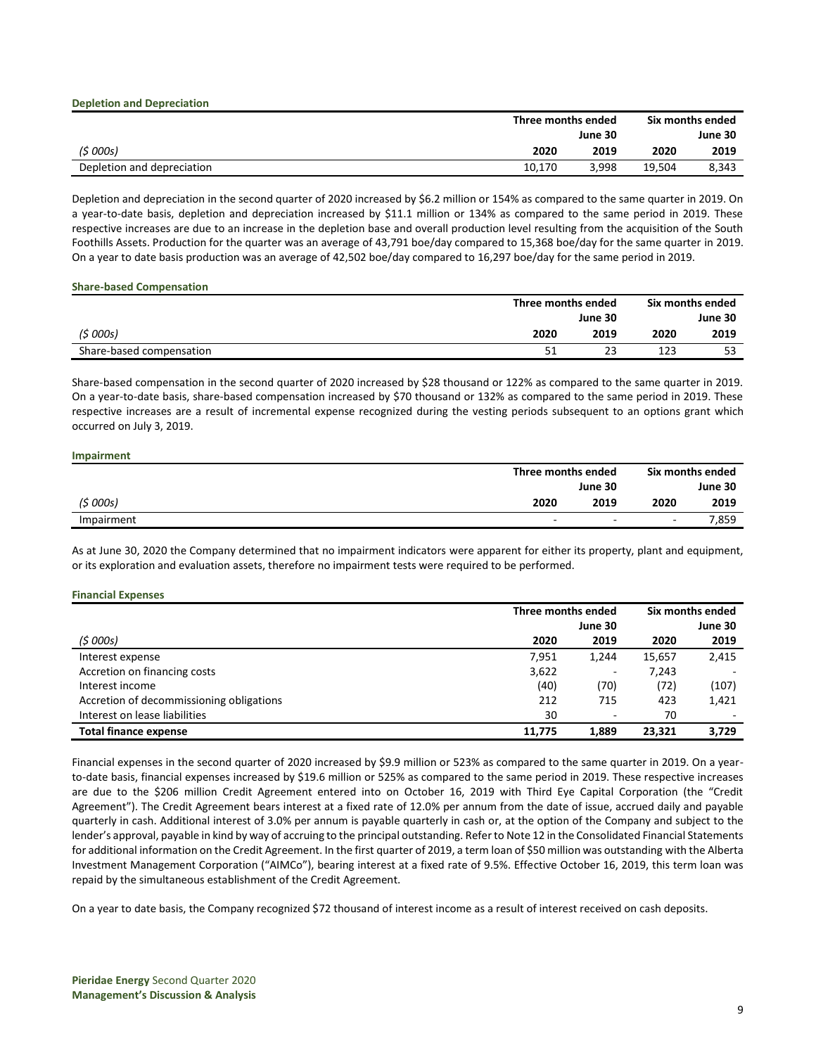|                            | Three months ended |       | Six months ended |       |  |
|----------------------------|--------------------|-------|------------------|-------|--|
|                            | June 30            |       | June 30          |       |  |
| (5000s)                    | 2020               | 2019  | 2020             | 2019  |  |
| Depletion and depreciation | 10.170             | 3.998 | 19.504           | 8,343 |  |

Depletion and depreciation in the second quarter of 2020 increased by \$6.2 million or 154% as compared to the same quarter in 2019. On a year-to-date basis, depletion and depreciation increased by \$11.1 million or 134% as compared to the same period in 2019. These respective increases are due to an increase in the depletion base and overall production level resulting from the acquisition of the South Foothills Assets. Production for the quarter was an average of 43,791 boe/day compared to 15,368 boe/day for the same quarter in 2019. On a year to date basis production was an average of 42,502 boe/day compared to 16,297 boe/day for the same period in 2019.

#### **Share-based Compensation**

|                          | Three months ended |      | Six months ended |      |
|--------------------------|--------------------|------|------------------|------|
|                          | June 30            |      | June 30          |      |
| (5000s)                  | 2020               | 2019 | 2020             | 2019 |
| Share-based compensation |                    | 23   | 123              | 53   |

Share-based compensation in the second quarter of 2020 increased by \$28 thousand or 122% as compared to the same quarter in 2019. On a year-to-date basis, share-based compensation increased by \$70 thousand or 132% as compared to the same period in 2019. These respective increases are a result of incremental expense recognized during the vesting periods subsequent to an options grant which occurred on July 3, 2019.

#### **Impairment Three months ended June 30 Six months ended June 30** *(\$ 000s)* **2020 2019 2020 2019** Impairment - - - 7,859

As at June 30, 2020 the Company determined that no impairment indicators were apparent for either its property, plant and equipment, or its exploration and evaluation assets, therefore no impairment tests were required to be performed.

### **Financial Expenses**

|                                          | Three months ended |                          | Six months ended |         |
|------------------------------------------|--------------------|--------------------------|------------------|---------|
|                                          |                    | June 30                  |                  | June 30 |
| (\$ 000s)                                | 2020               | 2019                     | 2020             | 2019    |
| Interest expense                         | 7,951              | 1,244                    | 15,657           | 2,415   |
| Accretion on financing costs             | 3,622              | $\overline{\phantom{a}}$ | 7.243            |         |
| Interest income                          | (40)               | (70)                     | (72)             | (107)   |
| Accretion of decommissioning obligations | 212                | 715                      | 423              | 1.421   |
| Interest on lease liabilities            | 30                 | $\sim$                   | 70               |         |
| <b>Total finance expense</b>             | 11.775             | 1,889                    | 23,321           | 3,729   |

Financial expenses in the second quarter of 2020 increased by \$9.9 million or 523% as compared to the same quarter in 2019. On a yearto-date basis, financial expenses increased by \$19.6 million or 525% as compared to the same period in 2019. These respective increases are due to the \$206 million Credit Agreement entered into on October 16, 2019 with Third Eye Capital Corporation (the "Credit Agreement"). The Credit Agreement bears interest at a fixed rate of 12.0% per annum from the date of issue, accrued daily and payable quarterly in cash. Additional interest of 3.0% per annum is payable quarterly in cash or, at the option of the Company and subject to the lender's approval, payable in kind by way of accruing to the principal outstanding. Refer to Note 12 in the Consolidated Financial Statements for additional information on the Credit Agreement. In the first quarter of 2019, a term loan of \$50 million was outstanding with the Alberta Investment Management Corporation ("AIMCo"), bearing interest at a fixed rate of 9.5%. Effective October 16, 2019, this term loan was repaid by the simultaneous establishment of the Credit Agreement.

On a year to date basis, the Company recognized \$72 thousand of interest income as a result of interest received on cash deposits.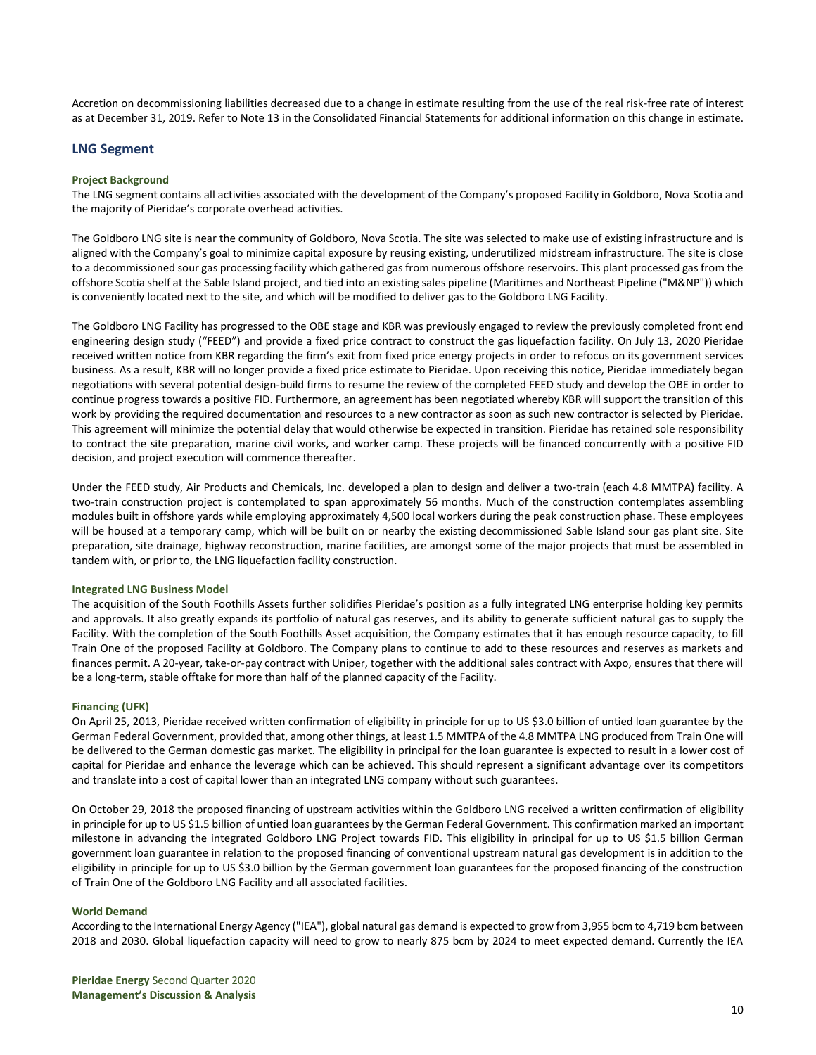Accretion on decommissioning liabilities decreased due to a change in estimate resulting from the use of the real risk-free rate of interest as at December 31, 2019. Refer to Note 13 in the Consolidated Financial Statements for additional information on this change in estimate.

## **LNG Segment**

#### **Project Background**

The LNG segment contains all activities associated with the development of the Company's proposed Facility in Goldboro, Nova Scotia and the majority of Pieridae's corporate overhead activities.

The Goldboro LNG site is near the community of Goldboro, Nova Scotia. The site was selected to make use of existing infrastructure and is aligned with the Company's goal to minimize capital exposure by reusing existing, underutilized midstream infrastructure. The site is close to a decommissioned sour gas processing facility which gathered gas from numerous offshore reservoirs. This plant processed gas from the offshore Scotia shelf at the Sable Island project, and tied into an existing sales pipeline (Maritimes and Northeast Pipeline ("M&NP")) which is conveniently located next to the site, and which will be modified to deliver gas to the Goldboro LNG Facility.

The Goldboro LNG Facility has progressed to the OBE stage and KBR was previously engaged to review the previously completed front end engineering design study ("FEED") and provide a fixed price contract to construct the gas liquefaction facility. On July 13, 2020 Pieridae received written notice from KBR regarding the firm's exit from fixed price energy projects in order to refocus on its government services business. As a result, KBR will no longer provide a fixed price estimate to Pieridae. Upon receiving this notice, Pieridae immediately began negotiations with several potential design-build firms to resume the review of the completed FEED study and develop the OBE in order to continue progress towards a positive FID. Furthermore, an agreement has been negotiated whereby KBR will support the transition of this work by providing the required documentation and resources to a new contractor as soon as such new contractor is selected by Pieridae. This agreement will minimize the potential delay that would otherwise be expected in transition. Pieridae has retained sole responsibility to contract the site preparation, marine civil works, and worker camp. These projects will be financed concurrently with a positive FID decision, and project execution will commence thereafter.

Under the FEED study, Air Products and Chemicals, Inc. developed a plan to design and deliver a two-train (each 4.8 MMTPA) facility. A two-train construction project is contemplated to span approximately 56 months. Much of the construction contemplates assembling modules built in offshore yards while employing approximately 4,500 local workers during the peak construction phase. These employees will be housed at a temporary camp, which will be built on or nearby the existing decommissioned Sable Island sour gas plant site. Site preparation, site drainage, highway reconstruction, marine facilities, are amongst some of the major projects that must be assembled in tandem with, or prior to, the LNG liquefaction facility construction.

#### **Integrated LNG Business Model**

The acquisition of the South Foothills Assets further solidifies Pieridae's position as a fully integrated LNG enterprise holding key permits and approvals. It also greatly expands its portfolio of natural gas reserves, and its ability to generate sufficient natural gas to supply the Facility. With the completion of the South Foothills Asset acquisition, the Company estimates that it has enough resource capacity, to fill Train One of the proposed Facility at Goldboro. The Company plans to continue to add to these resources and reserves as markets and finances permit. A 20-year, take-or-pay contract with Uniper, together with the additional sales contract with Axpo, ensures that there will be a long-term, stable offtake for more than half of the planned capacity of the Facility.

#### **Financing (UFK)**

On April 25, 2013, Pieridae received written confirmation of eligibility in principle for up to US \$3.0 billion of untied loan guarantee by the German Federal Government, provided that, among other things, at least 1.5 MMTPA of the 4.8 MMTPA LNG produced from Train One will be delivered to the German domestic gas market. The eligibility in principal for the loan guarantee is expected to result in a lower cost of capital for Pieridae and enhance the leverage which can be achieved. This should represent a significant advantage over its competitors and translate into a cost of capital lower than an integrated LNG company without such guarantees.

On October 29, 2018 the proposed financing of upstream activities within the Goldboro LNG received a written confirmation of eligibility in principle for up to US \$1.5 billion of untied loan guarantees by the German Federal Government. This confirmation marked an important milestone in advancing the integrated Goldboro LNG Project towards FID. This eligibility in principal for up to US \$1.5 billion German government loan guarantee in relation to the proposed financing of conventional upstream natural gas development is in addition to the eligibility in principle for up to US \$3.0 billion by the German government loan guarantees for the proposed financing of the construction of Train One of the Goldboro LNG Facility and all associated facilities.

#### **World Demand**

According to the International Energy Agency ("IEA"), global natural gas demand is expected to grow from 3,955 bcm to 4,719 bcm between 2018 and 2030. Global liquefaction capacity will need to grow to nearly 875 bcm by 2024 to meet expected demand. Currently the IEA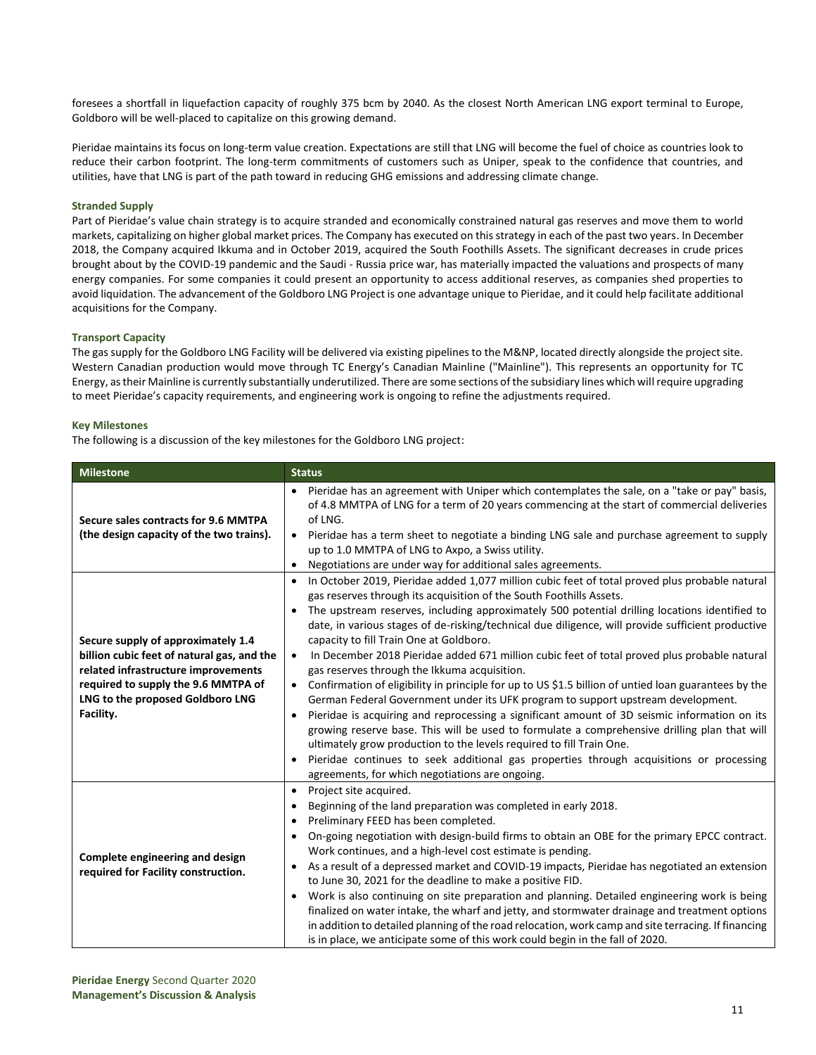foresees a shortfall in liquefaction capacity of roughly 375 bcm by 2040. As the closest North American LNG export terminal to Europe, Goldboro will be well-placed to capitalize on this growing demand.

Pieridae maintains its focus on long-term value creation. Expectations are still that LNG will become the fuel of choice as countries look to reduce their carbon footprint. The long-term commitments of customers such as Uniper, speak to the confidence that countries, and utilities, have that LNG is part of the path toward in reducing GHG emissions and addressing climate change.

## **Stranded Supply**

Part of Pieridae's value chain strategy is to acquire stranded and economically constrained natural gas reserves and move them to world markets, capitalizing on higher global market prices. The Company has executed on this strategy in each of the past two years. In December 2018, the Company acquired Ikkuma and in October 2019, acquired the South Foothills Assets. The significant decreases in crude prices brought about by the COVID-19 pandemic and the Saudi - Russia price war, has materially impacted the valuations and prospects of many energy companies. For some companies it could present an opportunity to access additional reserves, as companies shed properties to avoid liquidation. The advancement of the Goldboro LNG Project is one advantage unique to Pieridae, and it could help facilitate additional acquisitions for the Company.

### **Transport Capacity**

The gas supply for the Goldboro LNG Facility will be delivered via existing pipelines to the M&NP, located directly alongside the project site. Western Canadian production would move through TC Energy's Canadian Mainline ("Mainline"). This represents an opportunity for TC Energy, as their Mainline is currently substantially underutilized. There are some sections of the subsidiary lines which will require upgrading to meet Pieridae's capacity requirements, and engineering work is ongoing to refine the adjustments required.

#### **Key Milestones**

The following is a discussion of the key milestones for the Goldboro LNG project:

| <b>Milestone</b>                                                                                                                                                                                                | <b>Status</b>                                                                                                                                                                                                                                                                                                                                                                                                                                                                                                                                                                                                                                                                                                                                                                                                                                                                                                                                                                                                                                                                                                                                                                                                                                             |
|-----------------------------------------------------------------------------------------------------------------------------------------------------------------------------------------------------------------|-----------------------------------------------------------------------------------------------------------------------------------------------------------------------------------------------------------------------------------------------------------------------------------------------------------------------------------------------------------------------------------------------------------------------------------------------------------------------------------------------------------------------------------------------------------------------------------------------------------------------------------------------------------------------------------------------------------------------------------------------------------------------------------------------------------------------------------------------------------------------------------------------------------------------------------------------------------------------------------------------------------------------------------------------------------------------------------------------------------------------------------------------------------------------------------------------------------------------------------------------------------|
| Secure sales contracts for 9.6 MMTPA<br>(the design capacity of the two trains).                                                                                                                                | Pieridae has an agreement with Uniper which contemplates the sale, on a "take or pay" basis,<br>of 4.8 MMTPA of LNG for a term of 20 years commencing at the start of commercial deliveries<br>of LNG.<br>Pieridae has a term sheet to negotiate a binding LNG sale and purchase agreement to supply<br>$\bullet$<br>up to 1.0 MMTPA of LNG to Axpo, a Swiss utility.<br>Negotiations are under way for additional sales agreements.<br>٠                                                                                                                                                                                                                                                                                                                                                                                                                                                                                                                                                                                                                                                                                                                                                                                                                 |
| Secure supply of approximately 1.4<br>billion cubic feet of natural gas, and the<br>related infrastructure improvements<br>required to supply the 9.6 MMTPA of<br>LNG to the proposed Goldboro LNG<br>Facility. | In October 2019, Pieridae added 1,077 million cubic feet of total proved plus probable natural<br>$\bullet$<br>gas reserves through its acquisition of the South Foothills Assets.<br>The upstream reserves, including approximately 500 potential drilling locations identified to<br>$\bullet$<br>date, in various stages of de-risking/technical due diligence, will provide sufficient productive<br>capacity to fill Train One at Goldboro.<br>In December 2018 Pieridae added 671 million cubic feet of total proved plus probable natural<br>$\bullet$<br>gas reserves through the Ikkuma acquisition.<br>Confirmation of eligibility in principle for up to US \$1.5 billion of untied loan guarantees by the<br>$\bullet$<br>German Federal Government under its UFK program to support upstream development.<br>Pieridae is acquiring and reprocessing a significant amount of 3D seismic information on its<br>$\bullet$<br>growing reserve base. This will be used to formulate a comprehensive drilling plan that will<br>ultimately grow production to the levels required to fill Train One.<br>Pieridae continues to seek additional gas properties through acquisitions or processing<br>agreements, for which negotiations are ongoing. |
| Complete engineering and design<br>required for Facility construction.                                                                                                                                          | Project site acquired.<br>٠<br>Beginning of the land preparation was completed in early 2018.<br>$\bullet$<br>Preliminary FEED has been completed.<br>٠<br>On-going negotiation with design-build firms to obtain an OBE for the primary EPCC contract.<br>$\bullet$<br>Work continues, and a high-level cost estimate is pending.<br>As a result of a depressed market and COVID-19 impacts, Pieridae has negotiated an extension<br>٠<br>to June 30, 2021 for the deadline to make a positive FID.<br>Work is also continuing on site preparation and planning. Detailed engineering work is being<br>٠<br>finalized on water intake, the wharf and jetty, and stormwater drainage and treatment options<br>in addition to detailed planning of the road relocation, work camp and site terracing. If financing<br>is in place, we anticipate some of this work could begin in the fall of 2020.                                                                                                                                                                                                                                                                                                                                                        |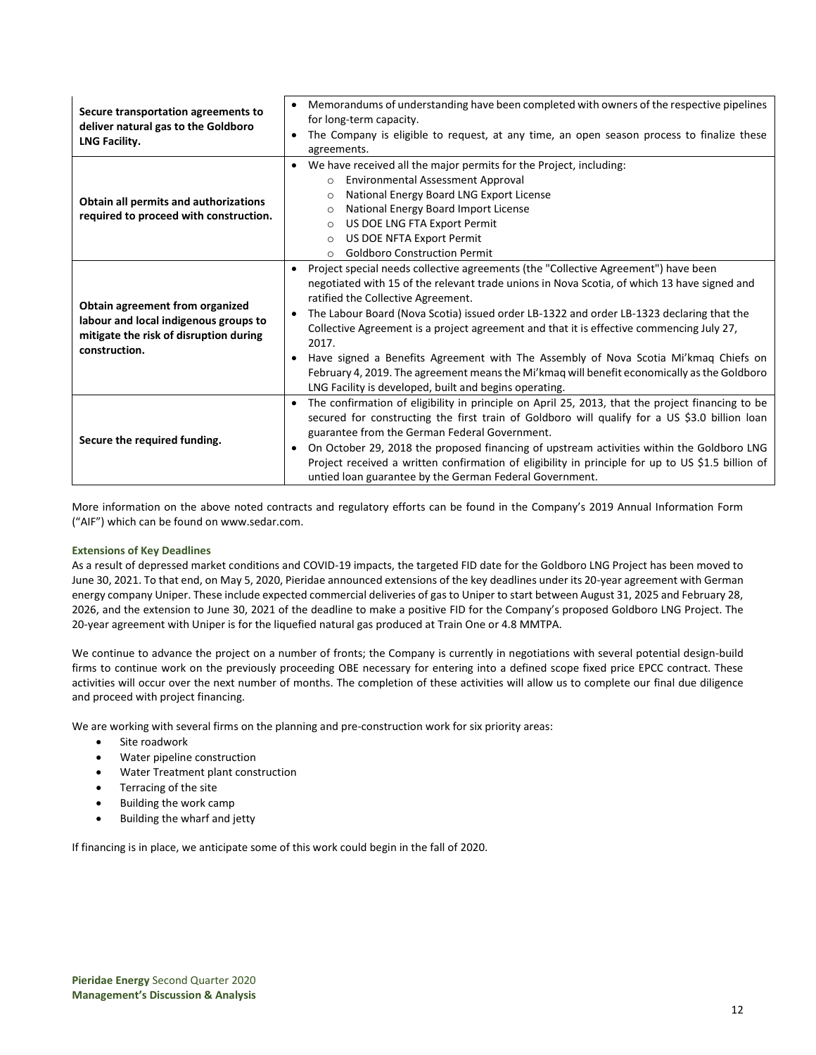| Secure transportation agreements to<br>deliver natural gas to the Goldboro<br>LNG Facility.                                         | Memorandums of understanding have been completed with owners of the respective pipelines<br>$\bullet$<br>for long-term capacity.<br>The Company is eligible to request, at any time, an open season process to finalize these<br>$\bullet$<br>agreements.                                                                                                                                                                                                                                                                                                                                                                                                                                          |
|-------------------------------------------------------------------------------------------------------------------------------------|----------------------------------------------------------------------------------------------------------------------------------------------------------------------------------------------------------------------------------------------------------------------------------------------------------------------------------------------------------------------------------------------------------------------------------------------------------------------------------------------------------------------------------------------------------------------------------------------------------------------------------------------------------------------------------------------------|
| Obtain all permits and authorizations<br>required to proceed with construction.                                                     | We have received all the major permits for the Project, including:<br>$\bullet$<br><b>Environmental Assessment Approval</b><br>$\Omega$<br>National Energy Board LNG Export License<br>$\Omega$<br>National Energy Board Import License<br>$\Omega$<br>US DOE LNG FTA Export Permit<br>$\circ$<br>US DOE NFTA Export Permit<br>$\circ$<br><b>Goldboro Construction Permit</b><br>$\circ$                                                                                                                                                                                                                                                                                                           |
| Obtain agreement from organized<br>labour and local indigenous groups to<br>mitigate the risk of disruption during<br>construction. | Project special needs collective agreements (the "Collective Agreement") have been<br>$\bullet$<br>negotiated with 15 of the relevant trade unions in Nova Scotia, of which 13 have signed and<br>ratified the Collective Agreement.<br>The Labour Board (Nova Scotia) issued order LB-1322 and order LB-1323 declaring that the<br>$\bullet$<br>Collective Agreement is a project agreement and that it is effective commencing July 27,<br>2017.<br>Have signed a Benefits Agreement with The Assembly of Nova Scotia Mi'kmag Chiefs on<br>February 4, 2019. The agreement means the Mi'kmaq will benefit economically as the Goldboro<br>LNG Facility is developed, built and begins operating. |
| Secure the required funding.                                                                                                        | The confirmation of eligibility in principle on April 25, 2013, that the project financing to be<br>$\bullet$<br>secured for constructing the first train of Goldboro will qualify for a US \$3.0 billion loan<br>guarantee from the German Federal Government.<br>On October 29, 2018 the proposed financing of upstream activities within the Goldboro LNG<br>$\bullet$<br>Project received a written confirmation of eligibility in principle for up to US \$1.5 billion of<br>untied loan guarantee by the German Federal Government.                                                                                                                                                          |

More information on the above noted contracts and regulatory efforts can be found in the Company's 2019 Annual Information Form ("AIF") which can be found on [www.sedar.com.](http://www.sedar.com/)

## **Extensions of Key Deadlines**

As a result of depressed market conditions and COVID-19 impacts, the targeted FID date for the Goldboro LNG Project has been moved to June 30, 2021. To that end, on May 5, 2020, Pieridae announced extensions of the key deadlines under its 20-year agreement with German energy company Uniper. These include expected commercial deliveries of gas to Uniper to start between August 31, 2025 and February 28, 2026, and the extension to June 30, 2021 of the deadline to make a positive FID for the Company's proposed Goldboro LNG Project. The 20-year agreement with Uniper is for the liquefied natural gas produced at Train One or 4.8 MMTPA.

We continue to advance the project on a number of fronts; the Company is currently in negotiations with several potential design-build firms to continue work on the previously proceeding OBE necessary for entering into a defined scope fixed price EPCC contract. These activities will occur over the next number of months. The completion of these activities will allow us to complete our final due diligence and proceed with project financing.

We are working with several firms on the planning and pre-construction work for six priority areas:

- Site roadwork
- Water pipeline construction
- Water Treatment plant construction
- Terracing of the site
- Building the work camp
- Building the wharf and jetty

If financing is in place, we anticipate some of this work could begin in the fall of 2020.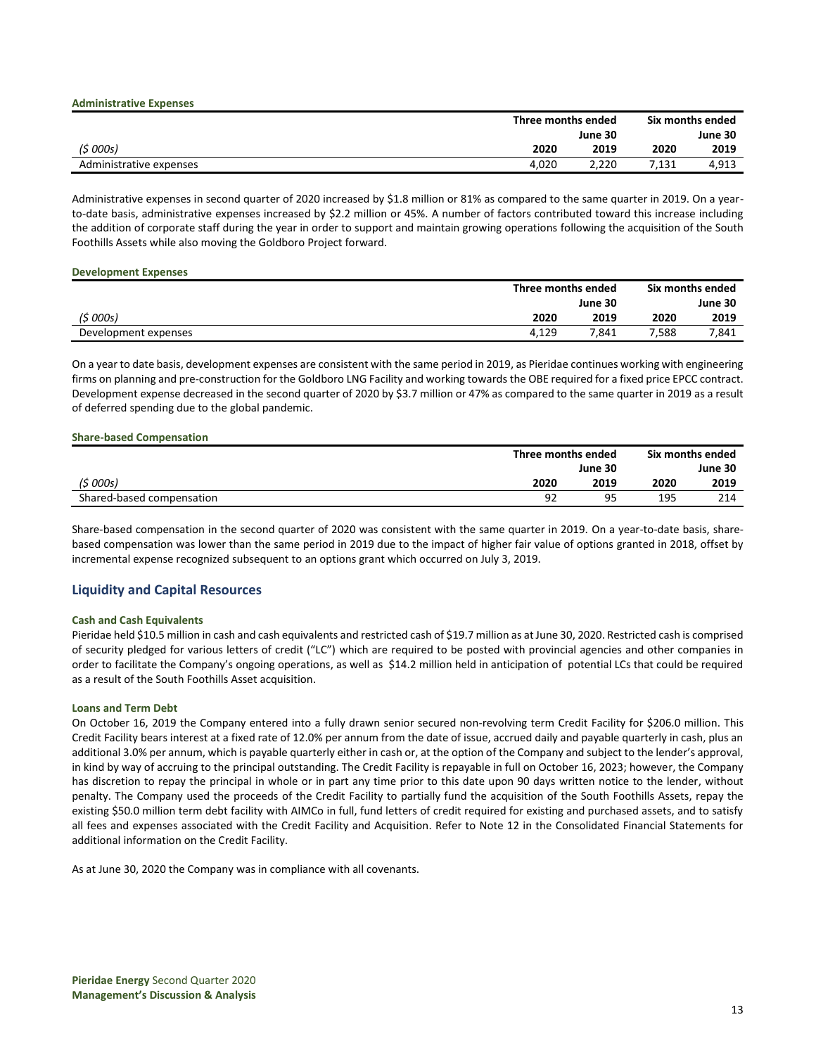|                         |         | Three months ended |         | Six months ended |
|-------------------------|---------|--------------------|---------|------------------|
|                         | June 30 |                    | June 30 |                  |
| (5000s)                 | 2020    | 2019               | 2020    | 2019             |
| Administrative expenses | 4.020   | 2,220              | 7,131   | 4,913            |

Administrative expenses in second quarter of 2020 increased by \$1.8 million or 81% as compared to the same quarter in 2019. On a yearto-date basis, administrative expenses increased by \$2.2 million or 45%. A number of factors contributed toward this increase including the addition of corporate staff during the year in order to support and maintain growing operations following the acquisition of the South Foothills Assets while also moving the Goldboro Project forward.

#### **Development Expenses**

|                      | Three months ended |       | Six months ended |         |
|----------------------|--------------------|-------|------------------|---------|
|                      | June 30            |       |                  | June 30 |
| (\$ 000s)            | 2020               | 2019  | 2020             | 2019    |
| Development expenses | 4.129              | 7.841 | 7,588            | 7,841   |

On a year to date basis, development expenses are consistent with the same period in 2019, as Pieridae continues working with engineering firms on planning and pre-construction for the Goldboro LNG Facility and working towards the OBE required for a fixed price EPCC contract. Development expense decreased in the second quarter of 2020 by \$3.7 million or 47% as compared to the same quarter in 2019 as a result of deferred spending due to the global pandemic.

#### **Share-based Compensation**

|                           | Three months ended |      | Six months ended |      |  |
|---------------------------|--------------------|------|------------------|------|--|
|                           | June 30            |      | June 30          |      |  |
| (5000s)                   | 2020               | 2019 | 2020             | 2019 |  |
| Shared-based compensation | 92                 | ٩F   | 195              | 214  |  |

Share-based compensation in the second quarter of 2020 was consistent with the same quarter in 2019. On a year-to-date basis, sharebased compensation was lower than the same period in 2019 due to the impact of higher fair value of options granted in 2018, offset by incremental expense recognized subsequent to an options grant which occurred on July 3, 2019.

## **Liquidity and Capital Resources**

### **Cash and Cash Equivalents**

Pieridae held \$10.5 million in cash and cash equivalents and restricted cash of \$19.7 million as at June 30, 2020. Restricted cash is comprised of security pledged for various letters of credit ("LC") which are required to be posted with provincial agencies and other companies in order to facilitate the Company's ongoing operations, as well as \$14.2 million held in anticipation of potential LCs that could be required as a result of the South Foothills Asset acquisition.

### **Loans and Term Debt**

On October 16, 2019 the Company entered into a fully drawn senior secured non-revolving term Credit Facility for \$206.0 million. This Credit Facility bears interest at a fixed rate of 12.0% per annum from the date of issue, accrued daily and payable quarterly in cash, plus an additional 3.0% per annum, which is payable quarterly either in cash or, at the option of the Company and subject to the lender's approval, in kind by way of accruing to the principal outstanding. The Credit Facility is repayable in full on October 16, 2023; however, the Company has discretion to repay the principal in whole or in part any time prior to this date upon 90 days written notice to the lender, without penalty. The Company used the proceeds of the Credit Facility to partially fund the acquisition of the South Foothills Assets, repay the existing \$50.0 million term debt facility with AIMCo in full, fund letters of credit required for existing and purchased assets, and to satisfy all fees and expenses associated with the Credit Facility and Acquisition. Refer to Note 12 in the Consolidated Financial Statements for additional information on the Credit Facility.

As at June 30, 2020 the Company was in compliance with all covenants.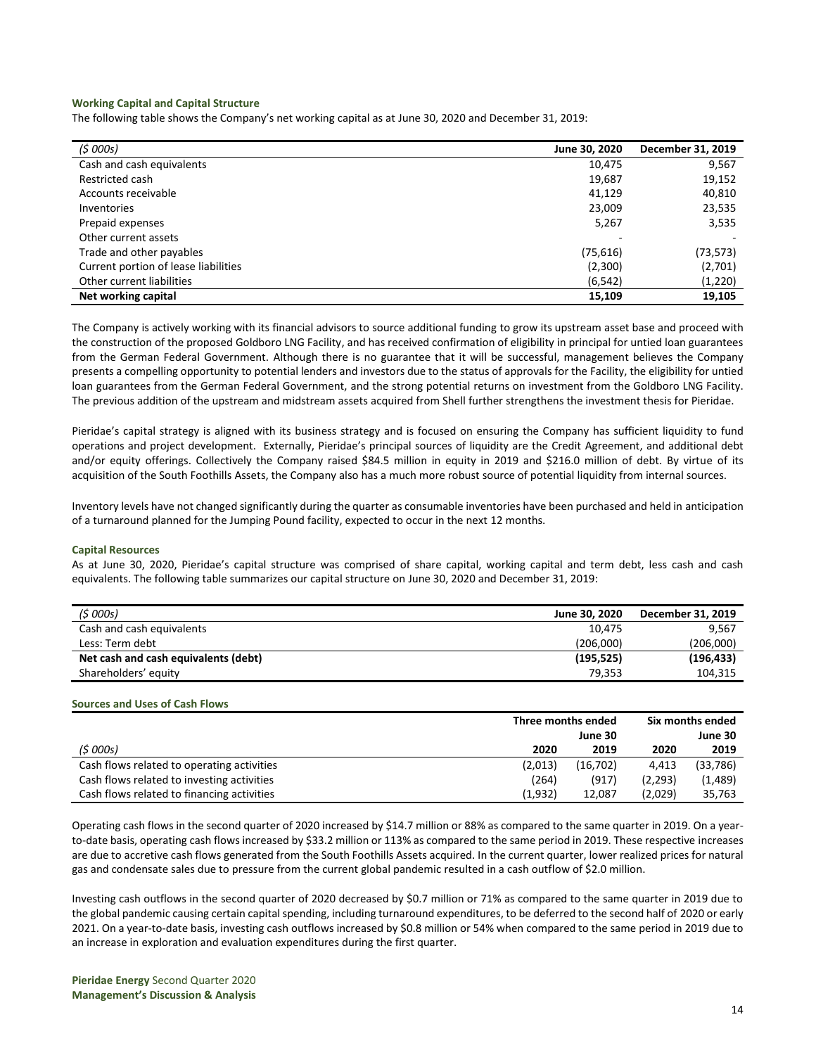#### **Working Capital and Capital Structure**

The following table shows the Company's net working capital as at June 30, 2020 and December 31, 2019:

| (\$ 000s)                            | June 30, 2020 | December 31, 2019 |
|--------------------------------------|---------------|-------------------|
| Cash and cash equivalents            | 10,475        | 9,567             |
| Restricted cash                      | 19,687        | 19,152            |
| Accounts receivable                  | 41,129        | 40,810            |
| Inventories                          | 23,009        | 23,535            |
| Prepaid expenses                     | 5,267         | 3,535             |
| Other current assets                 |               |                   |
| Trade and other payables             | (75, 616)     | (73,573)          |
| Current portion of lease liabilities | (2,300)       | (2,701)           |
| Other current liabilities            | (6, 542)      | (1,220)           |
| Net working capital                  | 15,109        | 19,105            |

The Company is actively working with its financial advisors to source additional funding to grow its upstream asset base and proceed with the construction of the proposed Goldboro LNG Facility, and has received confirmation of eligibility in principal for untied loan guarantees from the German Federal Government. Although there is no guarantee that it will be successful, management believes the Company presents a compelling opportunity to potential lenders and investors due to the status of approvals for the Facility, the eligibility for untied loan guarantees from the German Federal Government, and the strong potential returns on investment from the Goldboro LNG Facility. The previous addition of the upstream and midstream assets acquired from Shell further strengthens the investment thesis for Pieridae.

Pieridae's capital strategy is aligned with its business strategy and is focused on ensuring the Company has sufficient liquidity to fund operations and project development. Externally, Pieridae's principal sources of liquidity are the Credit Agreement, and additional debt and/or equity offerings. Collectively the Company raised \$84.5 million in equity in 2019 and \$216.0 million of debt. By virtue of its acquisition of the South Foothills Assets, the Company also has a much more robust source of potential liquidity from internal sources.

Inventory levels have not changed significantly during the quarter as consumable inventories have been purchased and held in anticipation of a turnaround planned for the Jumping Pound facility, expected to occur in the next 12 months.

## **Capital Resources**

As at June 30, 2020, Pieridae's capital structure was comprised of share capital, working capital and term debt, less cash and cash equivalents. The following table summarizes our capital structure on June 30, 2020 and December 31, 2019:

| (5000s)                              | June 30, 2020 | December 31, 2019 |
|--------------------------------------|---------------|-------------------|
| Cash and cash equivalents            | 10.475        | 9.567             |
| Less: Term debt                      | (206.000)     | (206,000)         |
| Net cash and cash equivalents (debt) | (195, 525)    | (196, 433)        |
| Shareholders' equity                 | 79.353        | 104.315           |

#### **Sources and Uses of Cash Flows**

|                                            | Three months ended |          | Six months ended |           |
|--------------------------------------------|--------------------|----------|------------------|-----------|
|                                            |                    | June 30  |                  | June 30   |
| (5000s)                                    | 2020               | 2019     | 2020             | 2019      |
| Cash flows related to operating activities | (2,013)            | (16,702) | 4.413            | (33, 786) |
| Cash flows related to investing activities | (264)              | (917)    | (2,293)          | (1,489)   |
| Cash flows related to financing activities | (1,932)            | 12.087   | (2,029)          | 35,763    |

Operating cash flows in the second quarter of 2020 increased by \$14.7 million or 88% as compared to the same quarter in 2019. On a yearto-date basis, operating cash flows increased by \$33.2 million or 113% as compared to the same period in 2019. These respective increases are due to accretive cash flows generated from the South Foothills Assets acquired. In the current quarter, lower realized prices for natural gas and condensate sales due to pressure from the current global pandemic resulted in a cash outflow of \$2.0 million.

Investing cash outflows in the second quarter of 2020 decreased by \$0.7 million or 71% as compared to the same quarter in 2019 due to the global pandemic causing certain capital spending, including turnaround expenditures, to be deferred to the second half of 2020 or early 2021. On a year-to-date basis, investing cash outflows increased by \$0.8 million or 54% when compared to the same period in 2019 due to an increase in exploration and evaluation expenditures during the first quarter.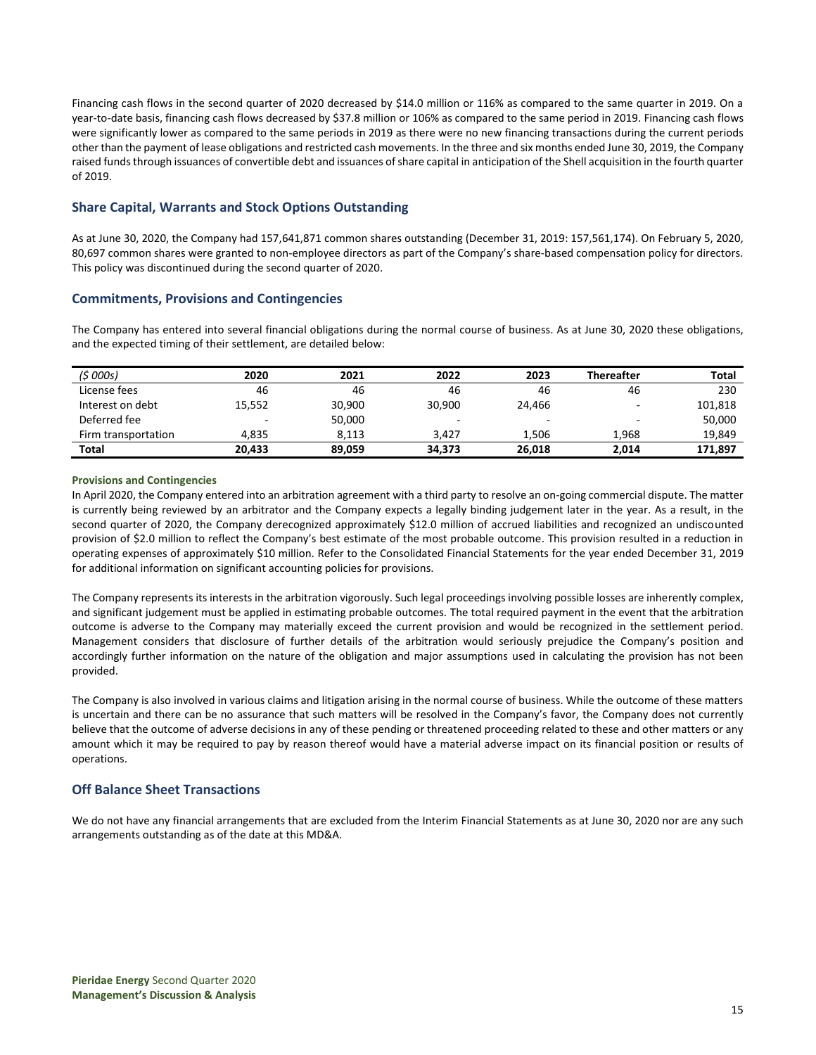Financing cash flows in the second quarter of 2020 decreased by \$14.0 million or 116% as compared to the same quarter in 2019. On a year-to-date basis, financing cash flows decreased by \$37.8 million or 106% as compared to the same period in 2019. Financing cash flows were significantly lower as compared to the same periods in 2019 as there were no new financing transactions during the current periods other than the payment of lease obligations and restricted cash movements. In the three and six months ended June 30, 2019, the Company raised funds through issuances of convertible debt and issuances of share capital in anticipation of the Shell acquisition in the fourth quarter of 2019.

## **Share Capital, Warrants and Stock Options Outstanding**

As at June 30, 2020, the Company had 157,641,871 common shares outstanding (December 31, 2019: 157,561,174). On February 5, 2020, 80,697 common shares were granted to non-employee directors as part of the Company's share-based compensation policy for directors. This policy was discontinued during the second quarter of 2020.

## **Commitments, Provisions and Contingencies**

The Company has entered into several financial obligations during the normal course of business. As at June 30, 2020 these obligations, and the expected timing of their settlement, are detailed below:

| (\$ 000s)           | 2020                     | 2021   | 2022                     | 2023   | <b>Thereafter</b>        | <b>Total</b> |
|---------------------|--------------------------|--------|--------------------------|--------|--------------------------|--------------|
| License fees        | 46                       | 46     | 46                       | 46     | 46                       | 230          |
| Interest on debt    | 15,552                   | 30,900 | 30.900                   | 24.466 | -                        | 101,818      |
| Deferred fee        | $\overline{\phantom{a}}$ | 50,000 | $\overline{\phantom{a}}$ | -      | $\overline{\phantom{a}}$ | 50,000       |
| Firm transportation | 4.835                    | 8.113  | 3.427                    | 1.506  | 1.968                    | 19.849       |
| <b>Total</b>        | 20.433                   | 89.059 | 34,373                   | 26.018 | 2.014                    | 171,897      |

## **Provisions and Contingencies**

In April 2020, the Company entered into an arbitration agreement with a third party to resolve an on-going commercial dispute. The matter is currently being reviewed by an arbitrator and the Company expects a legally binding judgement later in the year. As a result, in the second quarter of 2020, the Company derecognized approximately \$12.0 million of accrued liabilities and recognized an undiscounted provision of \$2.0 million to reflect the Company's best estimate of the most probable outcome. This provision resulted in a reduction in operating expenses of approximately \$10 million. Refer to the Consolidated Financial Statements for the year ended December 31, 2019 for additional information on significant accounting policies for provisions.

The Company represents its interests in the arbitration vigorously. Such legal proceedings involving possible losses are inherently complex, and significant judgement must be applied in estimating probable outcomes. The total required payment in the event that the arbitration outcome is adverse to the Company may materially exceed the current provision and would be recognized in the settlement period. Management considers that disclosure of further details of the arbitration would seriously prejudice the Company's position and accordingly further information on the nature of the obligation and major assumptions used in calculating the provision has not been provided.

The Company is also involved in various claims and litigation arising in the normal course of business. While the outcome of these matters is uncertain and there can be no assurance that such matters will be resolved in the Company's favor, the Company does not currently believe that the outcome of adverse decisions in any of these pending or threatened proceeding related to these and other matters or any amount which it may be required to pay by reason thereof would have a material adverse impact on its financial position or results of operations.

## **Off Balance Sheet Transactions**

We do not have any financial arrangements that are excluded from the Interim Financial Statements as at June 30, 2020 nor are any such arrangements outstanding as of the date at this MD&A.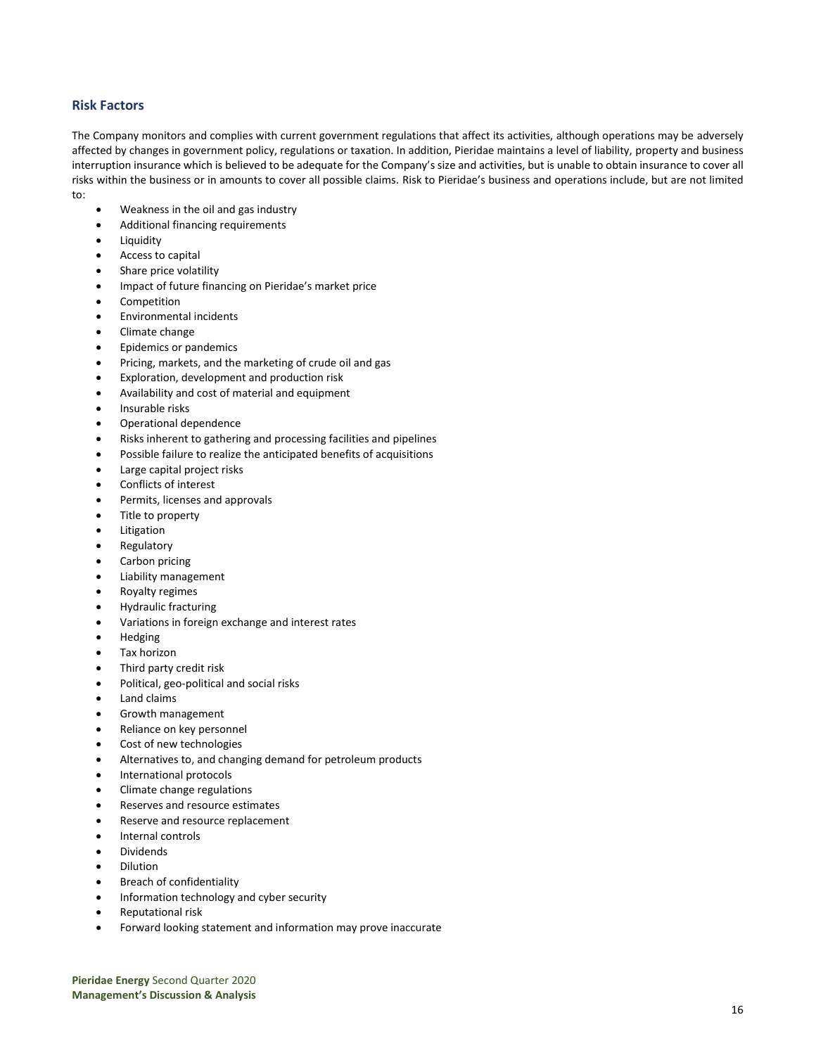## **Risk Factors**

The Company monitors and complies with current government regulations that affect its activities, although operations may be adversely affected by changes in government policy, regulations or taxation. In addition, Pieridae maintains a level of liability, property and business interruption insurance which is believed to be adequate for the Company's size and activities, but is unable to obtain insurance to cover all risks within the business or in amounts to cover all possible claims. Risk to Pieridae's business and operations include, but are not limited to:

- Weakness in the oil and gas industry
- Additional financing requirements
- **Liquidity**
- Access to capital
- Share price volatility
- Impact of future financing on Pieridae's market price
- **Competition**
- Environmental incidents
- Climate change
- Epidemics or pandemics
- Pricing, markets, and the marketing of crude oil and gas
- Exploration, development and production risk
- Availability and cost of material and equipment
- Insurable risks
- Operational dependence
- Risks inherent to gathering and processing facilities and pipelines
- Possible failure to realize the anticipated benefits of acquisitions
- Large capital project risks
- Conflicts of interest
- Permits, licenses and approvals
- Title to property
- **Litigation**
- **Regulatory**
- Carbon pricing
- Liability management
- Royalty regimes
- Hydraulic fracturing
- Variations in foreign exchange and interest rates
- Hedging
- Tax horizon
- Third party credit risk
- Political, geo-political and social risks
- Land claims
- Growth management
- Reliance on key personnel
- Cost of new technologies
- Alternatives to, and changing demand for petroleum products
- International protocols
- Climate change regulations
- Reserves and resource estimates
- Reserve and resource replacement
- Internal controls
- **Dividends**
- Dilution
- Breach of confidentiality
- Information technology and cyber security
- Reputational risk
- Forward looking statement and information may prove inaccurate

**Pieridae Energy** Second Quarter 2020 **Management's Discussion & Analysis**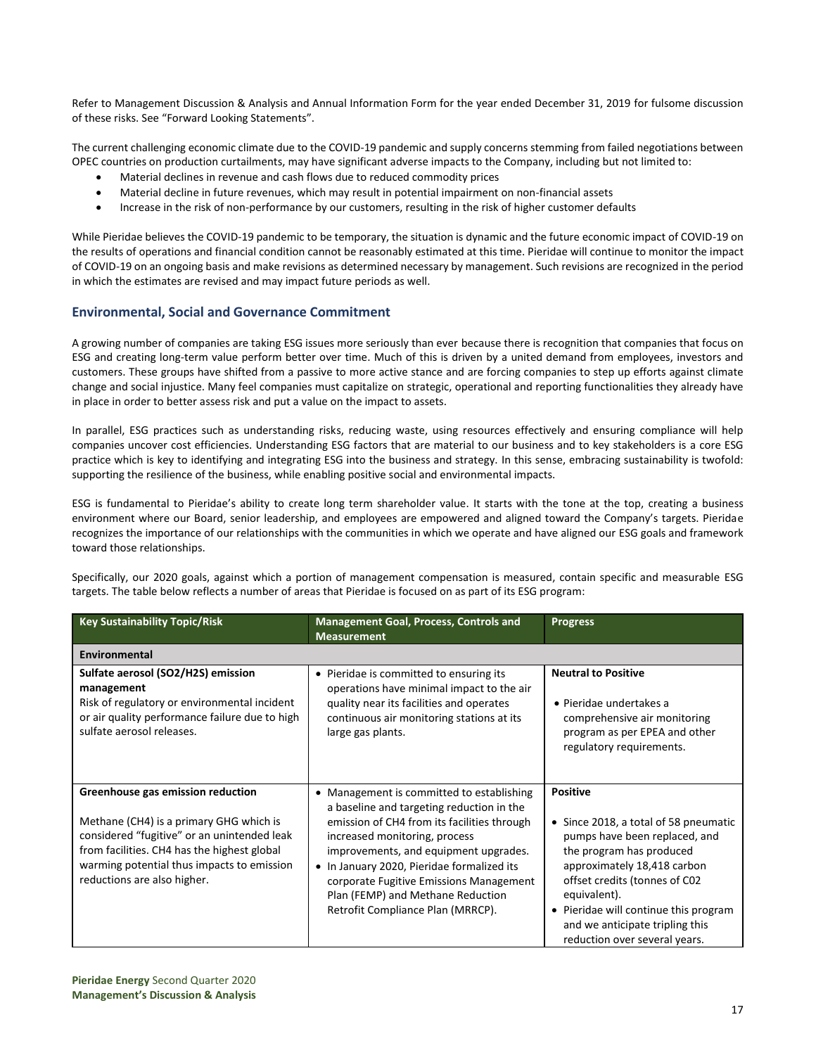Refer to Management Discussion & Analysis and Annual Information Form for the year ended December 31, 2019 for fulsome discussion of these risks. See "Forward Looking Statements".

The current challenging economic climate due to the COVID-19 pandemic and supply concerns stemming from failed negotiations between OPEC countries on production curtailments, may have significant adverse impacts to the Company, including but not limited to:

- Material declines in revenue and cash flows due to reduced commodity prices
- Material decline in future revenues, which may result in potential impairment on non-financial assets
- Increase in the risk of non-performance by our customers, resulting in the risk of higher customer defaults

While Pieridae believes the COVID-19 pandemic to be temporary, the situation is dynamic and the future economic impact of COVID-19 on the results of operations and financial condition cannot be reasonably estimated at this time. Pieridae will continue to monitor the impact of COVID-19 on an ongoing basis and make revisions as determined necessary by management. Such revisions are recognized in the period in which the estimates are revised and may impact future periods as well.

## **Environmental, Social and Governance Commitment**

A growing number of companies are taking ESG issues more seriously than ever because there is recognition that companies that focus on ESG and creating long-term value perform better over time. Much of this is driven by a united demand from employees, investors and customers. These groups have shifted from a passive to more active stance and are forcing companies to step up efforts against climate change and social injustice. Many feel companies must capitalize on strategic, operational and reporting functionalities they already have in place in order to better assess risk and put a value on the impact to assets.

In parallel, ESG practices such as understanding risks, reducing waste, using resources effectively and ensuring compliance will help companies uncover cost efficiencies. Understanding ESG factors that are material to our business and to key stakeholders is a core ESG practice which is key to identifying and integrating ESG into the business and strategy. In this sense, embracing sustainability is twofold: supporting the resilience of the business, while enabling positive social and environmental impacts.

ESG is fundamental to Pieridae's ability to create long term shareholder value. It starts with the tone at the top, creating a business environment where our Board, senior leadership, and employees are empowered and aligned toward the Company's targets. Pieridae recognizes the importance of our relationships with the communities in which we operate and have aligned our ESG goals and framework toward those relationships.

Specifically, our 2020 goals, against which a portion of management compensation is measured, contain specific and measurable ESG targets. The table below reflects a number of areas that Pieridae is focused on as part of its ESG program:

| <b>Key Sustainability Topic/Risk</b>                                                                                                                                                                                                                    | <b>Management Goal, Process, Controls and</b><br><b>Measurement</b>                                                                                                                                                                                                                                                                                                                           | <b>Progress</b>                                                                                                                                                                                                                                                                                                    |
|---------------------------------------------------------------------------------------------------------------------------------------------------------------------------------------------------------------------------------------------------------|-----------------------------------------------------------------------------------------------------------------------------------------------------------------------------------------------------------------------------------------------------------------------------------------------------------------------------------------------------------------------------------------------|--------------------------------------------------------------------------------------------------------------------------------------------------------------------------------------------------------------------------------------------------------------------------------------------------------------------|
| Environmental                                                                                                                                                                                                                                           |                                                                                                                                                                                                                                                                                                                                                                                               |                                                                                                                                                                                                                                                                                                                    |
| Sulfate aerosol (SO2/H2S) emission<br>management<br>Risk of regulatory or environmental incident<br>or air quality performance failure due to high<br>sulfate aerosol releases.                                                                         | Pieridae is committed to ensuring its<br>$\bullet$<br>operations have minimal impact to the air<br>quality near its facilities and operates<br>continuous air monitoring stations at its<br>large gas plants.                                                                                                                                                                                 | <b>Neutral to Positive</b><br>$\bullet$ Pieridae undertakes a<br>comprehensive air monitoring<br>program as per EPEA and other<br>regulatory requirements.                                                                                                                                                         |
| Greenhouse gas emission reduction<br>Methane (CH4) is a primary GHG which is<br>considered "fugitive" or an unintended leak<br>from facilities. CH4 has the highest global<br>warming potential thus impacts to emission<br>reductions are also higher. | Management is committed to establishing<br>$\bullet$<br>a baseline and targeting reduction in the<br>emission of CH4 from its facilities through<br>increased monitoring, process<br>improvements, and equipment upgrades.<br>• In January 2020, Pieridae formalized its<br>corporate Fugitive Emissions Management<br>Plan (FEMP) and Methane Reduction<br>Retrofit Compliance Plan (MRRCP). | <b>Positive</b><br>• Since 2018, a total of 58 pneumatic<br>pumps have been replaced, and<br>the program has produced<br>approximately 18,418 carbon<br>offset credits (tonnes of C02<br>equivalent).<br>• Pieridae will continue this program<br>and we anticipate tripling this<br>reduction over several years. |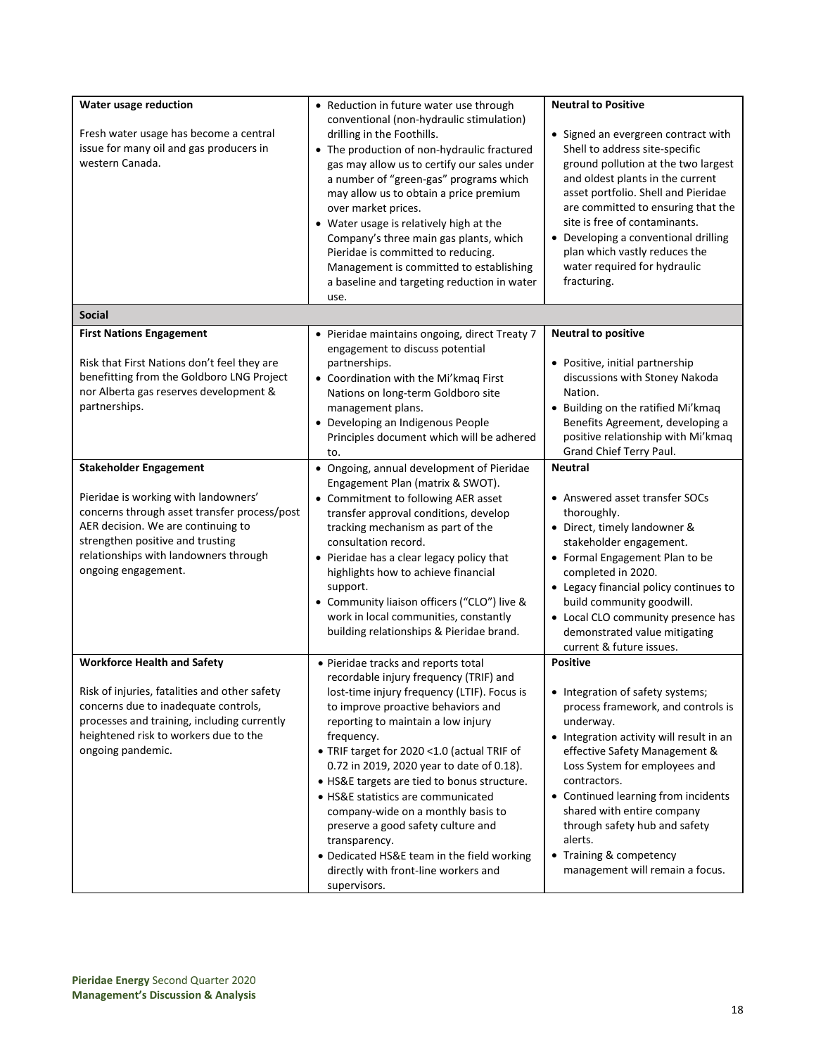| Water usage reduction<br>Fresh water usage has become a central<br>issue for many oil and gas producers in<br>western Canada.                                                                                                                                   | • Reduction in future water use through<br>conventional (non-hydraulic stimulation)<br>drilling in the Foothills.<br>• The production of non-hydraulic fractured<br>gas may allow us to certify our sales under<br>a number of "green-gas" programs which<br>may allow us to obtain a price premium<br>over market prices.<br>• Water usage is relatively high at the<br>Company's three main gas plants, which<br>Pieridae is committed to reducing.<br>Management is committed to establishing                                                                                                           | <b>Neutral to Positive</b><br>• Signed an evergreen contract with<br>Shell to address site-specific<br>ground pollution at the two largest<br>and oldest plants in the current<br>asset portfolio. Shell and Pieridae<br>are committed to ensuring that the<br>site is free of contaminants.<br>Developing a conventional drilling<br>plan which vastly reduces the<br>water required for hydraulic                 |
|-----------------------------------------------------------------------------------------------------------------------------------------------------------------------------------------------------------------------------------------------------------------|------------------------------------------------------------------------------------------------------------------------------------------------------------------------------------------------------------------------------------------------------------------------------------------------------------------------------------------------------------------------------------------------------------------------------------------------------------------------------------------------------------------------------------------------------------------------------------------------------------|---------------------------------------------------------------------------------------------------------------------------------------------------------------------------------------------------------------------------------------------------------------------------------------------------------------------------------------------------------------------------------------------------------------------|
|                                                                                                                                                                                                                                                                 | a baseline and targeting reduction in water<br>use.                                                                                                                                                                                                                                                                                                                                                                                                                                                                                                                                                        | fracturing.                                                                                                                                                                                                                                                                                                                                                                                                         |
| <b>Social</b>                                                                                                                                                                                                                                                   |                                                                                                                                                                                                                                                                                                                                                                                                                                                                                                                                                                                                            |                                                                                                                                                                                                                                                                                                                                                                                                                     |
| <b>First Nations Engagement</b><br>Risk that First Nations don't feel they are<br>benefitting from the Goldboro LNG Project<br>nor Alberta gas reserves development &<br>partnerships.                                                                          | • Pieridae maintains ongoing, direct Treaty 7<br>engagement to discuss potential<br>partnerships.<br>• Coordination with the Mi'kmaq First<br>Nations on long-term Goldboro site<br>management plans.<br>• Developing an Indigenous People<br>Principles document which will be adhered<br>to.                                                                                                                                                                                                                                                                                                             | <b>Neutral to positive</b><br>• Positive, initial partnership<br>discussions with Stoney Nakoda<br>Nation.<br>• Building on the ratified Mi'kmaq<br>Benefits Agreement, developing a<br>positive relationship with Mi'kmaq<br>Grand Chief Terry Paul.                                                                                                                                                               |
| <b>Stakeholder Engagement</b><br>Pieridae is working with landowners'<br>concerns through asset transfer process/post<br>AER decision. We are continuing to<br>strengthen positive and trusting<br>relationships with landowners through<br>ongoing engagement. | • Ongoing, annual development of Pieridae<br>Engagement Plan (matrix & SWOT).<br>• Commitment to following AER asset<br>transfer approval conditions, develop<br>tracking mechanism as part of the<br>consultation record.<br>• Pieridae has a clear legacy policy that<br>highlights how to achieve financial<br>support.<br>• Community liaison officers ("CLO") live &<br>work in local communities, constantly<br>building relationships & Pieridae brand.                                                                                                                                             | <b>Neutral</b><br>• Answered asset transfer SOCs<br>thoroughly.<br>• Direct, timely landowner &<br>stakeholder engagement.<br>• Formal Engagement Plan to be<br>completed in 2020.<br>• Legacy financial policy continues to<br>build community goodwill.<br>• Local CLO community presence has<br>demonstrated value mitigating<br>current & future issues.                                                        |
| <b>Workforce Health and Safety</b><br>Risk of injuries, fatalities and other safety<br>concerns due to inadequate controls,<br>processes and training, including currently<br>heightened risk to workers due to the<br>ongoing pandemic.                        | • Pieridae tracks and reports total<br>recordable injury frequency (TRIF) and<br>lost-time injury frequency (LTIF). Focus is<br>to improve proactive behaviors and<br>reporting to maintain a low injury<br>frequency.<br>• TRIF target for 2020 <1.0 (actual TRIF of<br>0.72 in 2019, 2020 year to date of 0.18).<br>• HS&E targets are tied to bonus structure.<br>• HS&E statistics are communicated<br>company-wide on a monthly basis to<br>preserve a good safety culture and<br>transparency.<br>• Dedicated HS&E team in the field working<br>directly with front-line workers and<br>supervisors. | <b>Positive</b><br>• Integration of safety systems;<br>process framework, and controls is<br>underway.<br>• Integration activity will result in an<br>effective Safety Management &<br>Loss System for employees and<br>contractors.<br>• Continued learning from incidents<br>shared with entire company<br>through safety hub and safety<br>alerts.<br>• Training & competency<br>management will remain a focus. |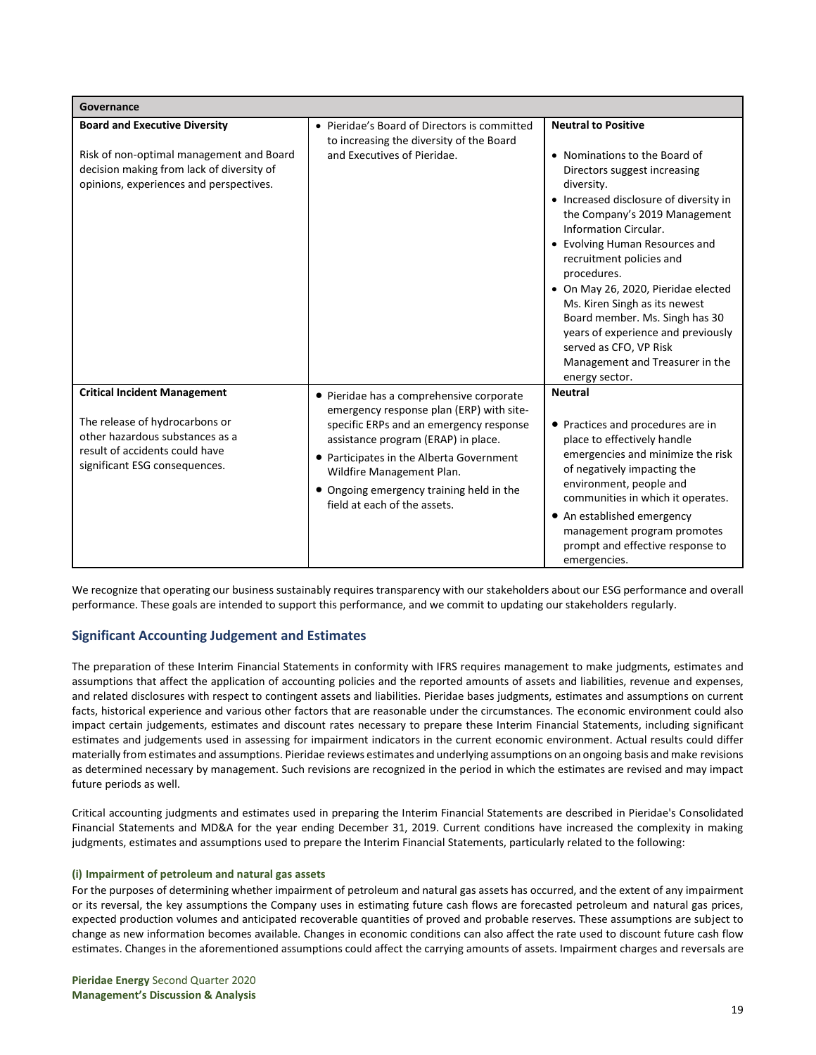| Governance                                                                                                                                                                  |                                                                                                                                                                                                                                                                                                                             |                                                                                                                                                                                                                                                                                                                                                                                                                                                                                             |
|-----------------------------------------------------------------------------------------------------------------------------------------------------------------------------|-----------------------------------------------------------------------------------------------------------------------------------------------------------------------------------------------------------------------------------------------------------------------------------------------------------------------------|---------------------------------------------------------------------------------------------------------------------------------------------------------------------------------------------------------------------------------------------------------------------------------------------------------------------------------------------------------------------------------------------------------------------------------------------------------------------------------------------|
| <b>Board and Executive Diversity</b>                                                                                                                                        | • Pieridae's Board of Directors is committed<br>to increasing the diversity of the Board                                                                                                                                                                                                                                    | <b>Neutral to Positive</b>                                                                                                                                                                                                                                                                                                                                                                                                                                                                  |
| Risk of non-optimal management and Board<br>decision making from lack of diversity of<br>opinions, experiences and perspectives.                                            | and Executives of Pieridae.                                                                                                                                                                                                                                                                                                 | • Nominations to the Board of<br>Directors suggest increasing<br>diversity.<br>• Increased disclosure of diversity in<br>the Company's 2019 Management<br>Information Circular.<br>• Evolving Human Resources and<br>recruitment policies and<br>procedures.<br>• On May 26, 2020, Pieridae elected<br>Ms. Kiren Singh as its newest<br>Board member. Ms. Singh has 30<br>years of experience and previously<br>served as CFO, VP Risk<br>Management and Treasurer in the<br>energy sector. |
| <b>Critical Incident Management</b><br>The release of hydrocarbons or<br>other hazardous substances as a<br>result of accidents could have<br>significant ESG consequences. | • Pieridae has a comprehensive corporate<br>emergency response plan (ERP) with site-<br>specific ERPs and an emergency response<br>assistance program (ERAP) in place.<br>• Participates in the Alberta Government<br>Wildfire Management Plan.<br>• Ongoing emergency training held in the<br>field at each of the assets. | <b>Neutral</b><br>• Practices and procedures are in<br>place to effectively handle<br>emergencies and minimize the risk<br>of negatively impacting the<br>environment, people and<br>communities in which it operates.<br>• An established emergency<br>management program promotes<br>prompt and effective response to<br>emergencies.                                                                                                                                                     |

We recognize that operating our business sustainably requires transparency with our stakeholders about our ESG performance and overall performance. These goals are intended to support this performance, and we commit to updating our stakeholders regularly.

## **Significant Accounting Judgement and Estimates**

The preparation of these Interim Financial Statements in conformity with IFRS requires management to make judgments, estimates and assumptions that affect the application of accounting policies and the reported amounts of assets and liabilities, revenue and expenses, and related disclosures with respect to contingent assets and liabilities. Pieridae bases judgments, estimates and assumptions on current facts, historical experience and various other factors that are reasonable under the circumstances. The economic environment could also impact certain judgements, estimates and discount rates necessary to prepare these Interim Financial Statements, including significant estimates and judgements used in assessing for impairment indicators in the current economic environment. Actual results could differ materially from estimates and assumptions. Pieridae reviews estimates and underlying assumptions on an ongoing basis and make revisions as determined necessary by management. Such revisions are recognized in the period in which the estimates are revised and may impact future periods as well.

Critical accounting judgments and estimates used in preparing the Interim Financial Statements are described in Pieridae's Consolidated Financial Statements and MD&A for the year ending December 31, 2019. Current conditions have increased the complexity in making judgments, estimates and assumptions used to prepare the Interim Financial Statements, particularly related to the following:

## **(i) Impairment of petroleum and natural gas assets**

For the purposes of determining whether impairment of petroleum and natural gas assets has occurred, and the extent of any impairment or its reversal, the key assumptions the Company uses in estimating future cash flows are forecasted petroleum and natural gas prices, expected production volumes and anticipated recoverable quantities of proved and probable reserves. These assumptions are subject to change as new information becomes available. Changes in economic conditions can also affect the rate used to discount future cash flow estimates. Changes in the aforementioned assumptions could affect the carrying amounts of assets. Impairment charges and reversals are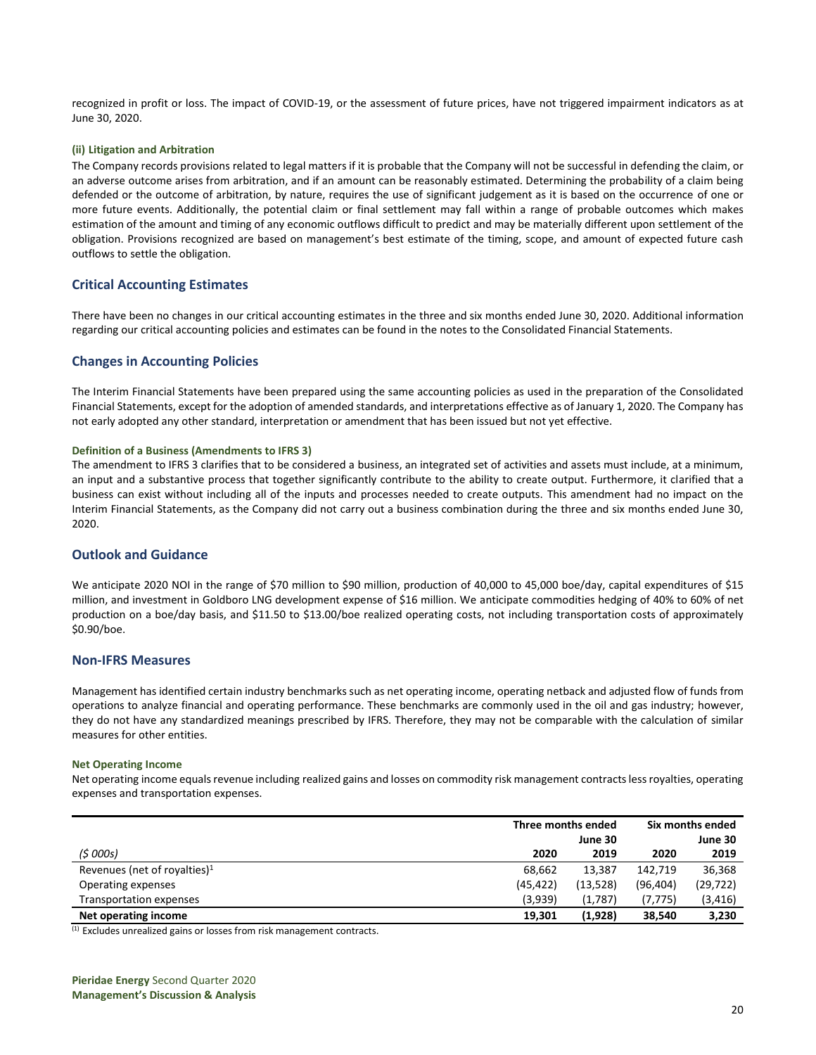recognized in profit or loss. The impact of COVID-19, or the assessment of future prices, have not triggered impairment indicators as at June 30, 2020.

### **(ii) Litigation and Arbitration**

The Company records provisions related to legal matters if it is probable that the Company will not be successful in defending the claim, or an adverse outcome arises from arbitration, and if an amount can be reasonably estimated. Determining the probability of a claim being defended or the outcome of arbitration, by nature, requires the use of significant judgement as it is based on the occurrence of one or more future events. Additionally, the potential claim or final settlement may fall within a range of probable outcomes which makes estimation of the amount and timing of any economic outflows difficult to predict and may be materially different upon settlement of the obligation. Provisions recognized are based on management's best estimate of the timing, scope, and amount of expected future cash outflows to settle the obligation.

## **Critical Accounting Estimates**

There have been no changes in our critical accounting estimates in the three and six months ended June 30, 2020. Additional information regarding our critical accounting policies and estimates can be found in the notes to the Consolidated Financial Statements.

## **Changes in Accounting Policies**

The Interim Financial Statements have been prepared using the same accounting policies as used in the preparation of the Consolidated Financial Statements, except for the adoption of amended standards, and interpretations effective as of January 1, 2020. The Company has not early adopted any other standard, interpretation or amendment that has been issued but not yet effective.

#### **Definition of a Business (Amendments to IFRS 3)**

The amendment to IFRS 3 clarifies that to be considered a business, an integrated set of activities and assets must include, at a minimum, an input and a substantive process that together significantly contribute to the ability to create output. Furthermore, it clarified that a business can exist without including all of the inputs and processes needed to create outputs. This amendment had no impact on the Interim Financial Statements, as the Company did not carry out a business combination during the three and six months ended June 30, 2020.

## **Outlook and Guidance**

We anticipate 2020 NOI in the range of \$70 million to \$90 million, production of 40,000 to 45,000 boe/day, capital expenditures of \$15 million, and investment in Goldboro LNG development expense of \$16 million. We anticipate commodities hedging of 40% to 60% of net production on a boe/day basis, and \$11.50 to \$13.00/boe realized operating costs, not including transportation costs of approximately \$0.90/boe.

### **Non-IFRS Measures**

Management has identified certain industry benchmarks such as net operating income, operating netback and adjusted flow of funds from operations to analyze financial and operating performance. These benchmarks are commonly used in the oil and gas industry; however, they do not have any standardized meanings prescribed by IFRS. Therefore, they may not be comparable with the calculation of similar measures for other entities.

#### **Net Operating Income**

Net operating income equals revenue including realized gains and losses on commodity risk management contracts less royalties, operating expenses and transportation expenses.

|                                          | Three months ended |          | Six months ended |           |
|------------------------------------------|--------------------|----------|------------------|-----------|
|                                          |                    | June 30  |                  | June 30   |
| (5000s)                                  | 2020               | 2019     | 2020             | 2019      |
| Revenues (net of royalties) <sup>1</sup> | 68.662             | 13.387   | 142.719          | 36,368    |
| Operating expenses                       | (45, 422)          | (13,528) | (96, 404)        | (29, 722) |
| Transportation expenses                  | (3,939)            | (1,787)  | (7,775)          | (3, 416)  |
| Net operating income                     | 19.301             | (1,928)  | 38,540           | 3,230     |

<sup>(1)</sup> Excludes unrealized gains or losses from risk management contracts.